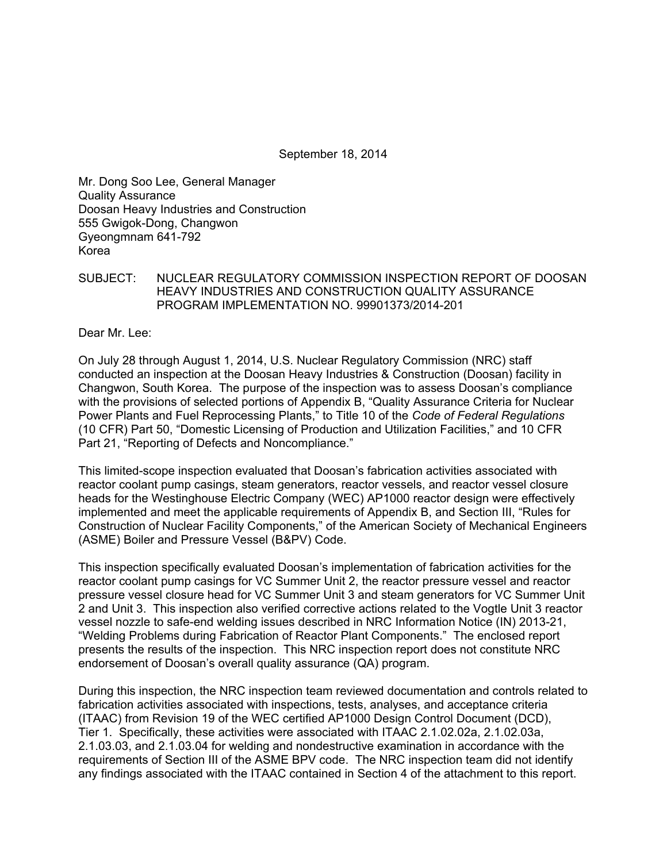September 18, 2014

Mr. Dong Soo Lee, General Manager Quality Assurance Doosan Heavy Industries and Construction 555 Gwigok-Dong, Changwon Gyeongmnam 641-792 Korea

SUBJECT: NUCLEAR REGULATORY COMMISSION INSPECTION REPORT OF DOOSAN HEAVY INDUSTRIES AND CONSTRUCTION QUALITY ASSURANCE PROGRAM IMPLEMENTATION NO. 99901373/2014-201

Dear Mr. Lee:

On July 28 through August 1, 2014, U.S. Nuclear Regulatory Commission (NRC) staff conducted an inspection at the Doosan Heavy Industries & Construction (Doosan) facility in Changwon, South Korea. The purpose of the inspection was to assess Doosan's compliance with the provisions of selected portions of Appendix B, "Quality Assurance Criteria for Nuclear Power Plants and Fuel Reprocessing Plants," to Title 10 of the *Code of Federal Regulations*  (10 CFR) Part 50, "Domestic Licensing of Production and Utilization Facilities," and 10 CFR Part 21, "Reporting of Defects and Noncompliance."

This limited-scope inspection evaluated that Doosan's fabrication activities associated with reactor coolant pump casings, steam generators, reactor vessels, and reactor vessel closure heads for the Westinghouse Electric Company (WEC) AP1000 reactor design were effectively implemented and meet the applicable requirements of Appendix B, and Section III, "Rules for Construction of Nuclear Facility Components," of the American Society of Mechanical Engineers (ASME) Boiler and Pressure Vessel (B&PV) Code.

This inspection specifically evaluated Doosan's implementation of fabrication activities for the reactor coolant pump casings for VC Summer Unit 2, the reactor pressure vessel and reactor pressure vessel closure head for VC Summer Unit 3 and steam generators for VC Summer Unit 2 and Unit 3. This inspection also verified corrective actions related to the Vogtle Unit 3 reactor vessel nozzle to safe-end welding issues described in NRC Information Notice (IN) 2013-21, "Welding Problems during Fabrication of Reactor Plant Components." The enclosed report presents the results of the inspection. This NRC inspection report does not constitute NRC endorsement of Doosan's overall quality assurance (QA) program.

During this inspection, the NRC inspection team reviewed documentation and controls related to fabrication activities associated with inspections, tests, analyses, and acceptance criteria (ITAAC) from Revision 19 of the WEC certified AP1000 Design Control Document (DCD), Tier 1. Specifically, these activities were associated with ITAAC 2.1.02.02a, 2.1.02.03a, 2.1.03.03, and 2.1.03.04 for welding and nondestructive examination in accordance with the requirements of Section III of the ASME BPV code. The NRC inspection team did not identify any findings associated with the ITAAC contained in Section 4 of the attachment to this report.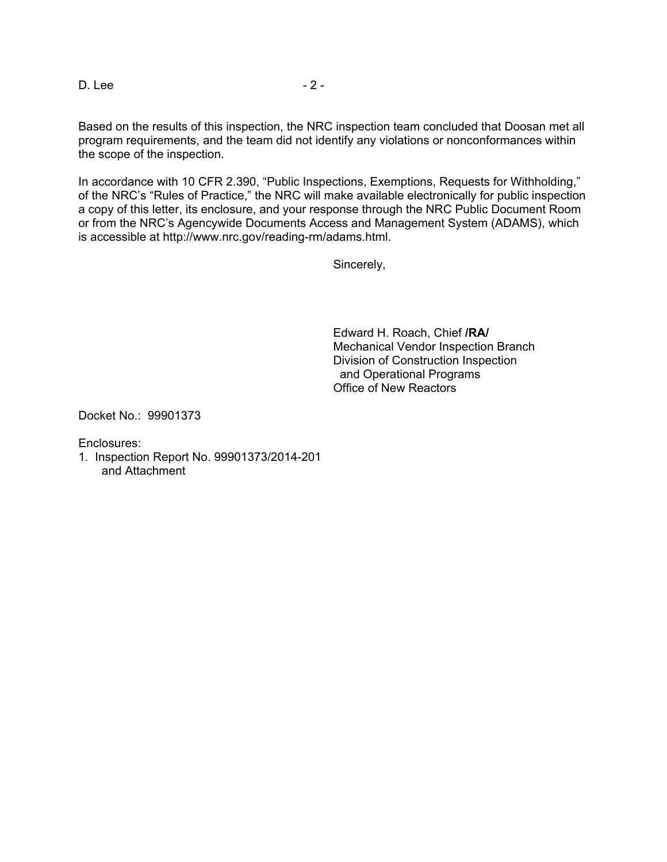D. Lee - 2 -

Based on the results of this inspection, the NRC inspection team concluded that Doosan met all program requirements, and the team did not identify any violations or nonconformances within the scope of the inspection.

In accordance with 10 CFR 2.390, "Public Inspections, Exemptions, Requests for Withholding," of the NRC's "Rules of Practice," the NRC will make available electronically for public inspection a copy of this letter, its enclosure, and your response through the NRC Public Document Room or from the NRC's Agencywide Documents Access and Management System (ADAMS), which is accessible at http://www.nrc.gov/reading-rm/adams.html.

Sincerely,

Edward H. Roach, Chief **/RA/**  Mechanical Vendor Inspection Branch Division of Construction Inspection and Operational Programs Office of New Reactors

Docket No.: 99901373

Enclosures:

1. Inspection Report No. 99901373/2014-201 and Attachment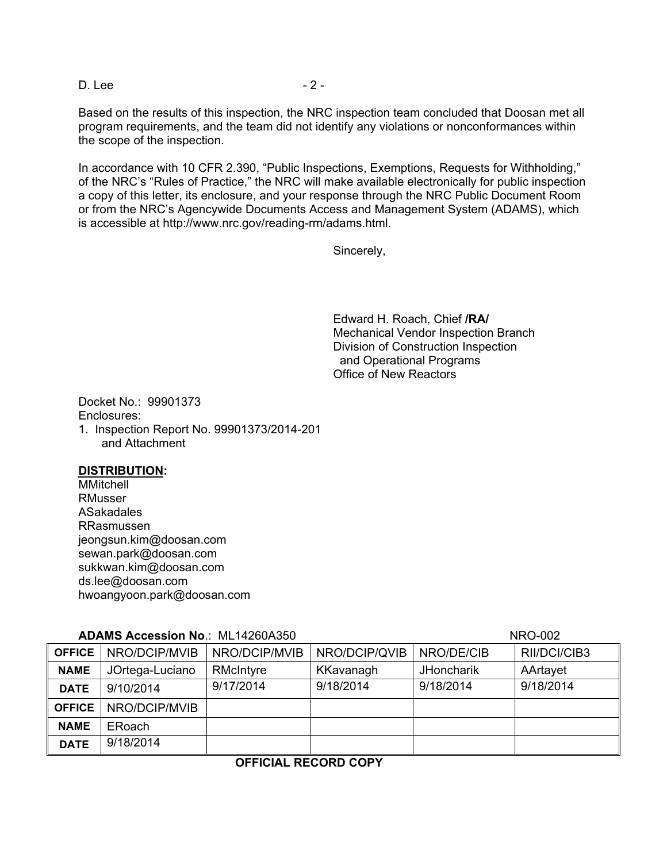D. Lee - 2 -

Based on the results of this inspection, the NRC inspection team concluded that Doosan met all program requirements, and the team did not identify any violations or nonconformances within the scope of the inspection.

In accordance with 10 CFR 2.390, "Public Inspections, Exemptions, Requests for Withholding," of the NRC's "Rules of Practice," the NRC will make available electronically for public inspection a copy of this letter, its enclosure, and your response through the NRC Public Document Room or from the NRC's Agencywide Documents Access and Management System (ADAMS), which is accessible at http://www.nrc.gov/reading-rm/adams.html.

Sincerely,

Edward H. Roach, Chief **/RA/**  Mechanical Vendor Inspection Branch Division of Construction Inspection and Operational Programs Office of New Reactors

Docket No.: 99901373 Enclosures: 1. Inspection Report No. 99901373/2014-201 and Attachment

## **DISTRIBUTION:**

MMitchell RMusser ASakadales RRasmussen jeongsun.kim@doosan.com sewan.park@doosan.com sukkwan.kim@doosan.com ds.lee@doosan.com hwoangyoon.park@doosan.com

## **ADAMS Accession No**.: ML14260A350 NRO-002

| ADAMO AGGOODIUI ITO IIIL ITZUUI IUUU |                 |               | 111 V VVL     |                   |              |
|--------------------------------------|-----------------|---------------|---------------|-------------------|--------------|
| <b>OFFICE</b>                        | NRO/DCIP/MVIB   | NRO/DCIP/MVIB | NRO/DCIP/QVIB | NRO/DE/CIB        | RII/DCI/CIB3 |
| <b>NAME</b>                          | JOrtega-Luciano | RMcIntyre     | KKavanagh     | <b>JHoncharik</b> | AArtayet     |
| <b>DATE</b>                          | 9/10/2014       | 9/17/2014     | 9/18/2014     | 9/18/2014         | 9/18/2014    |
| <b>OFFICE</b>                        | NRO/DCIP/MVIB   |               |               |                   |              |
| <b>NAME</b>                          | <b>ERoach</b>   |               |               |                   |              |
| <b>DATE</b>                          | 9/18/2014       |               |               |                   |              |

# **OFFICIAL RECORD COPY**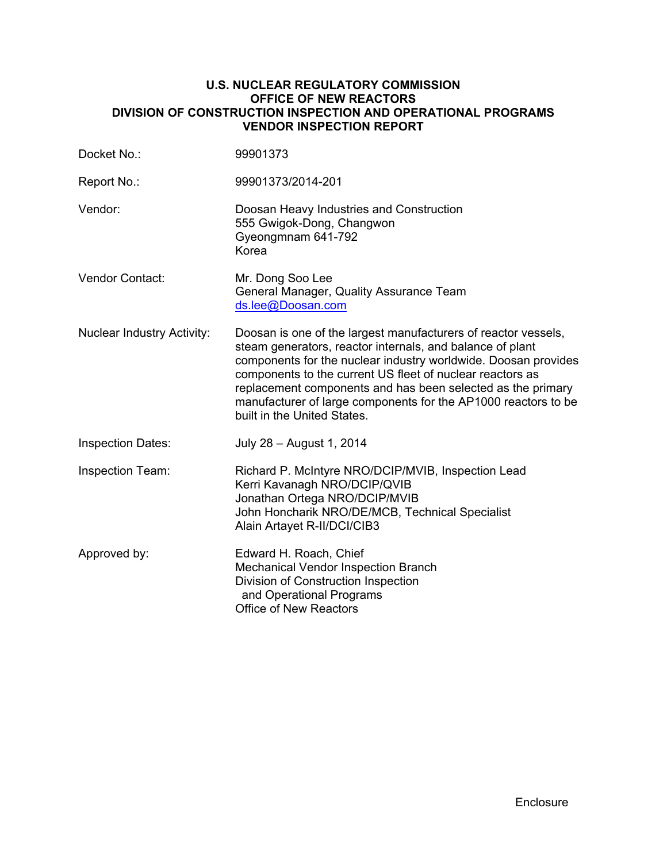## **U.S. NUCLEAR REGULATORY COMMISSION OFFICE OF NEW REACTORS DIVISION OF CONSTRUCTION INSPECTION AND OPERATIONAL PROGRAMS VENDOR INSPECTION REPORT**

| Docket No.:                       | 99901373                                                                                                                                                                                                                                                                                                                                                                                                                   |  |
|-----------------------------------|----------------------------------------------------------------------------------------------------------------------------------------------------------------------------------------------------------------------------------------------------------------------------------------------------------------------------------------------------------------------------------------------------------------------------|--|
| Report No.:                       | 99901373/2014-201                                                                                                                                                                                                                                                                                                                                                                                                          |  |
| Vendor:                           | Doosan Heavy Industries and Construction<br>555 Gwigok-Dong, Changwon<br>Gyeongmnam 641-792<br>Korea                                                                                                                                                                                                                                                                                                                       |  |
| Vendor Contact:                   | Mr. Dong Soo Lee<br>General Manager, Quality Assurance Team<br>ds.lee@Doosan.com                                                                                                                                                                                                                                                                                                                                           |  |
| <b>Nuclear Industry Activity:</b> | Doosan is one of the largest manufacturers of reactor vessels,<br>steam generators, reactor internals, and balance of plant<br>components for the nuclear industry worldwide. Doosan provides<br>components to the current US fleet of nuclear reactors as<br>replacement components and has been selected as the primary<br>manufacturer of large components for the AP1000 reactors to be<br>built in the United States. |  |
| <b>Inspection Dates:</b>          | July 28 - August 1, 2014                                                                                                                                                                                                                                                                                                                                                                                                   |  |
| <b>Inspection Team:</b>           | Richard P. McIntyre NRO/DCIP/MVIB, Inspection Lead<br>Kerri Kavanagh NRO/DCIP/QVIB<br>Jonathan Ortega NRO/DCIP/MVIB<br>John Honcharik NRO/DE/MCB, Technical Specialist<br>Alain Artayet R-II/DCI/CIB3                                                                                                                                                                                                                      |  |
| Approved by:                      | Edward H. Roach, Chief<br>Mechanical Vendor Inspection Branch<br>Division of Construction Inspection<br>and Operational Programs<br><b>Office of New Reactors</b>                                                                                                                                                                                                                                                          |  |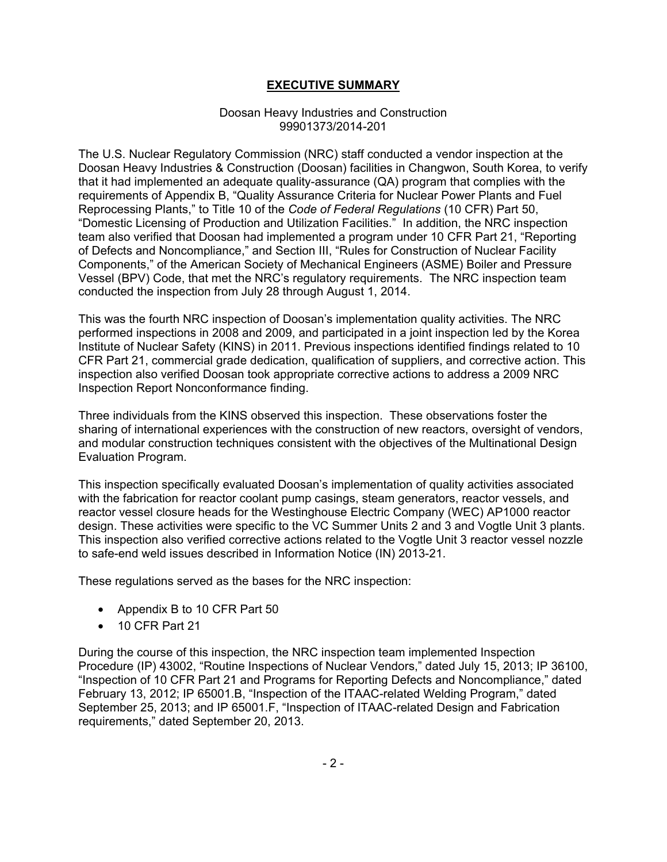# **EXECUTIVE SUMMARY**

## Doosan Heavy Industries and Construction 99901373/2014-201

The U.S. Nuclear Regulatory Commission (NRC) staff conducted a vendor inspection at the Doosan Heavy Industries & Construction (Doosan) facilities in Changwon, South Korea, to verify that it had implemented an adequate quality-assurance (QA) program that complies with the requirements of Appendix B, "Quality Assurance Criteria for Nuclear Power Plants and Fuel Reprocessing Plants," to Title 10 of the *Code of Federal Regulations* (10 CFR) Part 50, "Domestic Licensing of Production and Utilization Facilities." In addition, the NRC inspection team also verified that Doosan had implemented a program under 10 CFR Part 21, "Reporting of Defects and Noncompliance," and Section III, "Rules for Construction of Nuclear Facility Components," of the American Society of Mechanical Engineers (ASME) Boiler and Pressure Vessel (BPV) Code, that met the NRC's regulatory requirements. The NRC inspection team conducted the inspection from July 28 through August 1, 2014.

This was the fourth NRC inspection of Doosan's implementation quality activities. The NRC performed inspections in 2008 and 2009, and participated in a joint inspection led by the Korea Institute of Nuclear Safety (KINS) in 2011. Previous inspections identified findings related to 10 CFR Part 21, commercial grade dedication, qualification of suppliers, and corrective action. This inspection also verified Doosan took appropriate corrective actions to address a 2009 NRC Inspection Report Nonconformance finding.

Three individuals from the KINS observed this inspection. These observations foster the sharing of international experiences with the construction of new reactors, oversight of vendors, and modular construction techniques consistent with the objectives of the Multinational Design Evaluation Program.

This inspection specifically evaluated Doosan's implementation of quality activities associated with the fabrication for reactor coolant pump casings, steam generators, reactor vessels, and reactor vessel closure heads for the Westinghouse Electric Company (WEC) AP1000 reactor design. These activities were specific to the VC Summer Units 2 and 3 and Vogtle Unit 3 plants. This inspection also verified corrective actions related to the Vogtle Unit 3 reactor vessel nozzle to safe-end weld issues described in Information Notice (IN) 2013-21.

These regulations served as the bases for the NRC inspection:

- Appendix B to 10 CFR Part 50
- 10 CFR Part 21

During the course of this inspection, the NRC inspection team implemented Inspection Procedure (IP) 43002, "Routine Inspections of Nuclear Vendors," dated July 15, 2013; IP 36100, "Inspection of 10 CFR Part 21 and Programs for Reporting Defects and Noncompliance," dated February 13, 2012; IP 65001.B, "Inspection of the ITAAC-related Welding Program," dated September 25, 2013; and IP 65001.F, "Inspection of ITAAC-related Design and Fabrication requirements," dated September 20, 2013.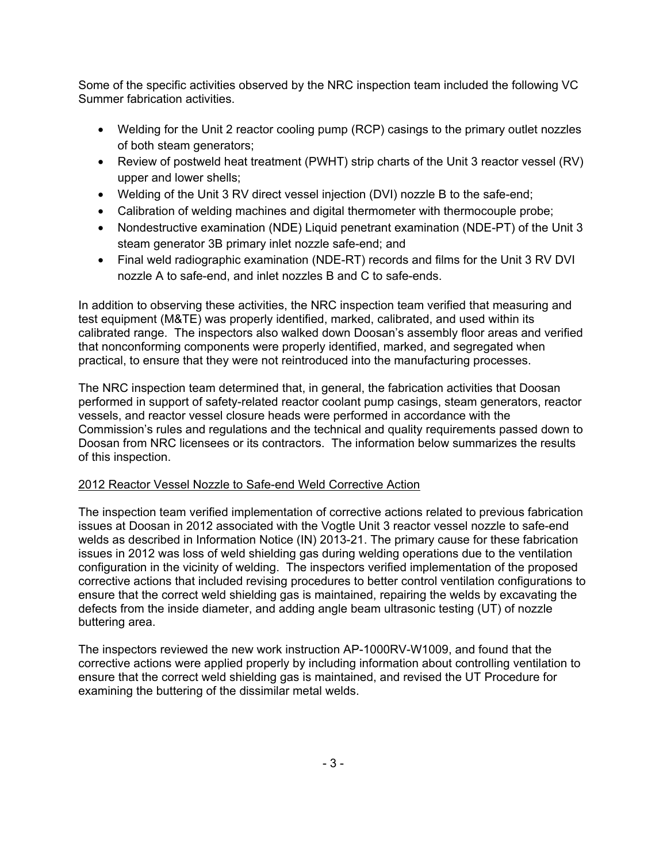Some of the specific activities observed by the NRC inspection team included the following VC Summer fabrication activities.

- Welding for the Unit 2 reactor cooling pump (RCP) casings to the primary outlet nozzles of both steam generators;
- Review of postweld heat treatment (PWHT) strip charts of the Unit 3 reactor vessel (RV) upper and lower shells;
- Welding of the Unit 3 RV direct vessel injection (DVI) nozzle B to the safe-end;
- Calibration of welding machines and digital thermometer with thermocouple probe;
- Nondestructive examination (NDE) Liquid penetrant examination (NDE-PT) of the Unit 3 steam generator 3B primary inlet nozzle safe-end; and
- Final weld radiographic examination (NDE-RT) records and films for the Unit 3 RV DVI nozzle A to safe-end, and inlet nozzles B and C to safe-ends.

In addition to observing these activities, the NRC inspection team verified that measuring and test equipment (M&TE) was properly identified, marked, calibrated, and used within its calibrated range. The inspectors also walked down Doosan's assembly floor areas and verified that nonconforming components were properly identified, marked, and segregated when practical, to ensure that they were not reintroduced into the manufacturing processes.

The NRC inspection team determined that, in general, the fabrication activities that Doosan performed in support of safety-related reactor coolant pump casings, steam generators, reactor vessels, and reactor vessel closure heads were performed in accordance with the Commission's rules and regulations and the technical and quality requirements passed down to Doosan from NRC licensees or its contractors. The information below summarizes the results of this inspection.

# 2012 Reactor Vessel Nozzle to Safe-end Weld Corrective Action

The inspection team verified implementation of corrective actions related to previous fabrication issues at Doosan in 2012 associated with the Vogtle Unit 3 reactor vessel nozzle to safe-end welds as described in Information Notice (IN) 2013-21. The primary cause for these fabrication issues in 2012 was loss of weld shielding gas during welding operations due to the ventilation configuration in the vicinity of welding. The inspectors verified implementation of the proposed corrective actions that included revising procedures to better control ventilation configurations to ensure that the correct weld shielding gas is maintained, repairing the welds by excavating the defects from the inside diameter, and adding angle beam ultrasonic testing (UT) of nozzle buttering area.

The inspectors reviewed the new work instruction AP-1000RV-W1009, and found that the corrective actions were applied properly by including information about controlling ventilation to ensure that the correct weld shielding gas is maintained, and revised the UT Procedure for examining the buttering of the dissimilar metal welds.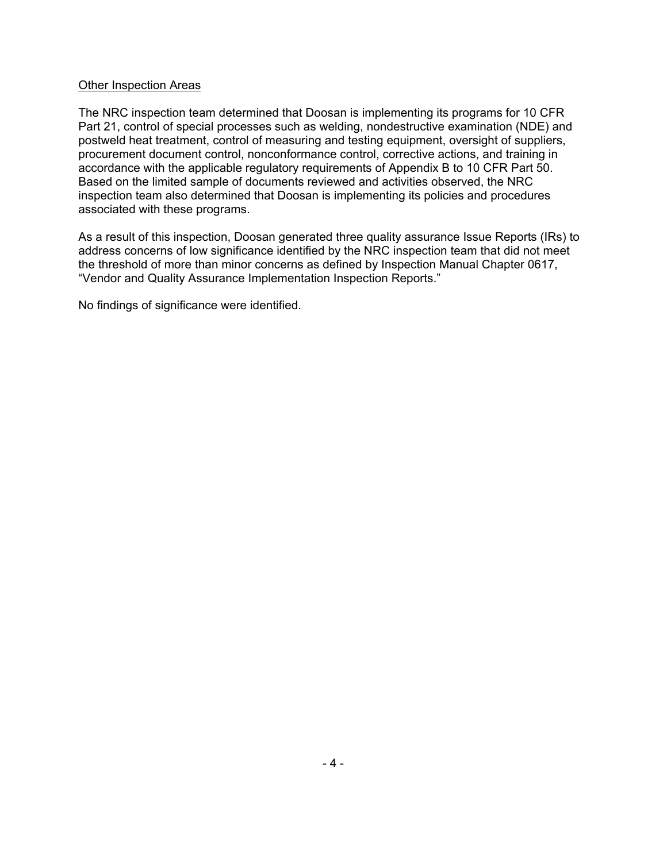## Other Inspection Areas

The NRC inspection team determined that Doosan is implementing its programs for 10 CFR Part 21, control of special processes such as welding, nondestructive examination (NDE) and postweld heat treatment, control of measuring and testing equipment, oversight of suppliers, procurement document control, nonconformance control, corrective actions, and training in accordance with the applicable regulatory requirements of Appendix B to 10 CFR Part 50. Based on the limited sample of documents reviewed and activities observed, the NRC inspection team also determined that Doosan is implementing its policies and procedures associated with these programs.

As a result of this inspection, Doosan generated three quality assurance Issue Reports (IRs) to address concerns of low significance identified by the NRC inspection team that did not meet the threshold of more than minor concerns as defined by Inspection Manual Chapter 0617, "Vendor and Quality Assurance Implementation Inspection Reports."

No findings of significance were identified.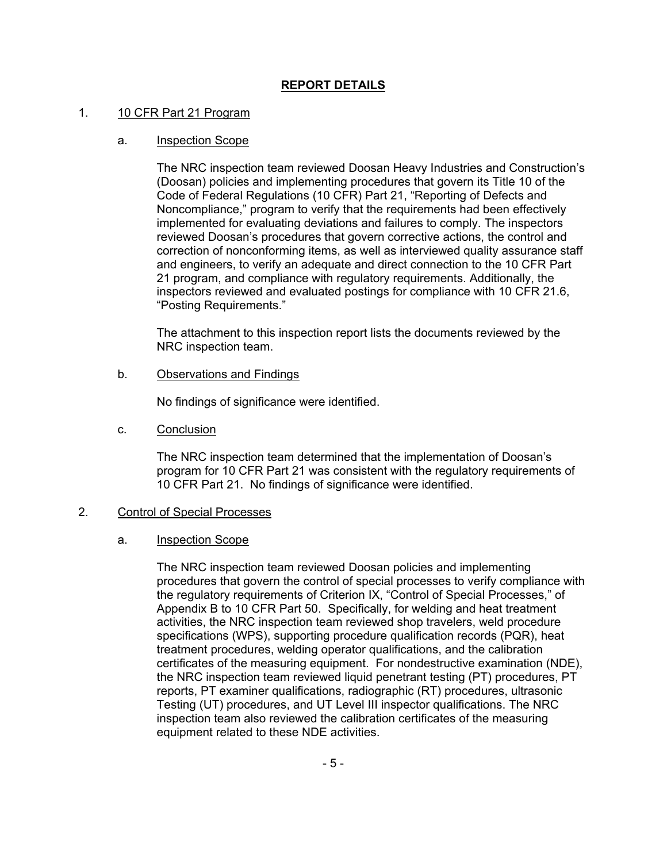# **REPORT DETAILS**

## 1. 10 CFR Part 21 Program

## a. Inspection Scope

The NRC inspection team reviewed Doosan Heavy Industries and Construction's (Doosan) policies and implementing procedures that govern its Title 10 of the Code of Federal Regulations (10 CFR) Part 21, "Reporting of Defects and Noncompliance," program to verify that the requirements had been effectively implemented for evaluating deviations and failures to comply. The inspectors reviewed Doosan's procedures that govern corrective actions, the control and correction of nonconforming items, as well as interviewed quality assurance staff and engineers, to verify an adequate and direct connection to the 10 CFR Part 21 program, and compliance with regulatory requirements. Additionally, the inspectors reviewed and evaluated postings for compliance with 10 CFR 21.6, "Posting Requirements."

The attachment to this inspection report lists the documents reviewed by the NRC inspection team.

b. Observations and Findings

No findings of significance were identified.

c. Conclusion

The NRC inspection team determined that the implementation of Doosan's program for 10 CFR Part 21 was consistent with the regulatory requirements of 10 CFR Part 21. No findings of significance were identified.

## 2. Control of Special Processes

## a. Inspection Scope

The NRC inspection team reviewed Doosan policies and implementing procedures that govern the control of special processes to verify compliance with the regulatory requirements of Criterion IX, "Control of Special Processes," of Appendix B to 10 CFR Part 50. Specifically, for welding and heat treatment activities, the NRC inspection team reviewed shop travelers, weld procedure specifications (WPS), supporting procedure qualification records (PQR), heat treatment procedures, welding operator qualifications, and the calibration certificates of the measuring equipment. For nondestructive examination (NDE), the NRC inspection team reviewed liquid penetrant testing (PT) procedures, PT reports, PT examiner qualifications, radiographic (RT) procedures, ultrasonic Testing (UT) procedures, and UT Level III inspector qualifications. The NRC inspection team also reviewed the calibration certificates of the measuring equipment related to these NDE activities.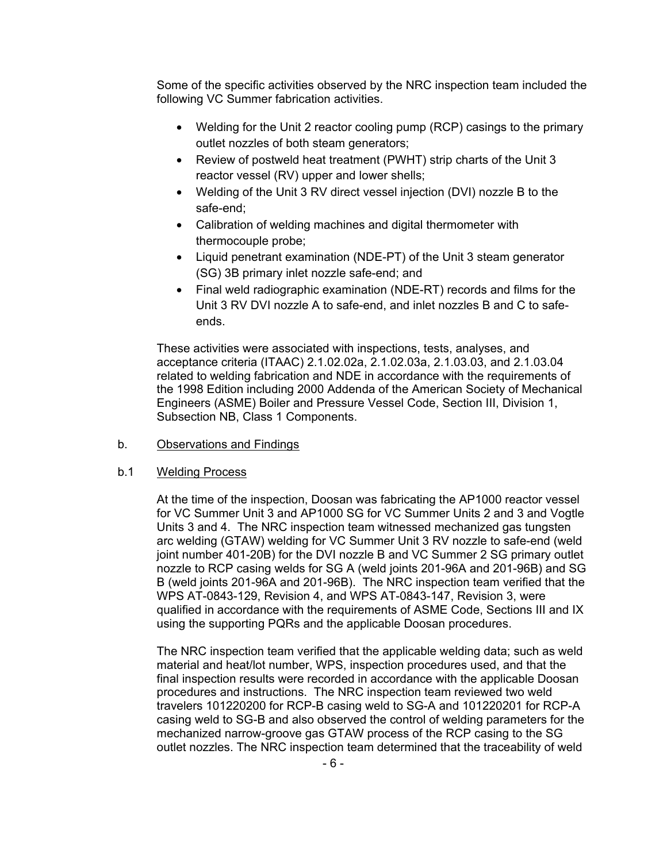Some of the specific activities observed by the NRC inspection team included the following VC Summer fabrication activities.

- Welding for the Unit 2 reactor cooling pump (RCP) casings to the primary outlet nozzles of both steam generators;
- Review of postweld heat treatment (PWHT) strip charts of the Unit 3 reactor vessel (RV) upper and lower shells;
- Welding of the Unit 3 RV direct vessel injection (DVI) nozzle B to the safe-end;
- Calibration of welding machines and digital thermometer with thermocouple probe;
- Liquid penetrant examination (NDE-PT) of the Unit 3 steam generator (SG) 3B primary inlet nozzle safe-end; and
- Final weld radiographic examination (NDE-RT) records and films for the Unit 3 RV DVI nozzle A to safe-end, and inlet nozzles B and C to safeends.

These activities were associated with inspections, tests, analyses, and acceptance criteria (ITAAC) 2.1.02.02a, 2.1.02.03a, 2.1.03.03, and 2.1.03.04 related to welding fabrication and NDE in accordance with the requirements of the 1998 Edition including 2000 Addenda of the American Society of Mechanical Engineers (ASME) Boiler and Pressure Vessel Code, Section III, Division 1, Subsection NB, Class 1 Components.

## b. Observations and Findings

## b.1 Welding Process

At the time of the inspection, Doosan was fabricating the AP1000 reactor vessel for VC Summer Unit 3 and AP1000 SG for VC Summer Units 2 and 3 and Vogtle Units 3 and 4. The NRC inspection team witnessed mechanized gas tungsten arc welding (GTAW) welding for VC Summer Unit 3 RV nozzle to safe-end (weld joint number 401-20B) for the DVI nozzle B and VC Summer 2 SG primary outlet nozzle to RCP casing welds for SG A (weld joints 201-96A and 201-96B) and SG B (weld joints 201-96A and 201-96B). The NRC inspection team verified that the WPS AT-0843-129, Revision 4, and WPS AT-0843-147, Revision 3, were qualified in accordance with the requirements of ASME Code, Sections III and IX using the supporting PQRs and the applicable Doosan procedures.

The NRC inspection team verified that the applicable welding data; such as weld material and heat/lot number, WPS, inspection procedures used, and that the final inspection results were recorded in accordance with the applicable Doosan procedures and instructions. The NRC inspection team reviewed two weld travelers 101220200 for RCP-B casing weld to SG-A and 101220201 for RCP-A casing weld to SG-B and also observed the control of welding parameters for the mechanized narrow-groove gas GTAW process of the RCP casing to the SG outlet nozzles. The NRC inspection team determined that the traceability of weld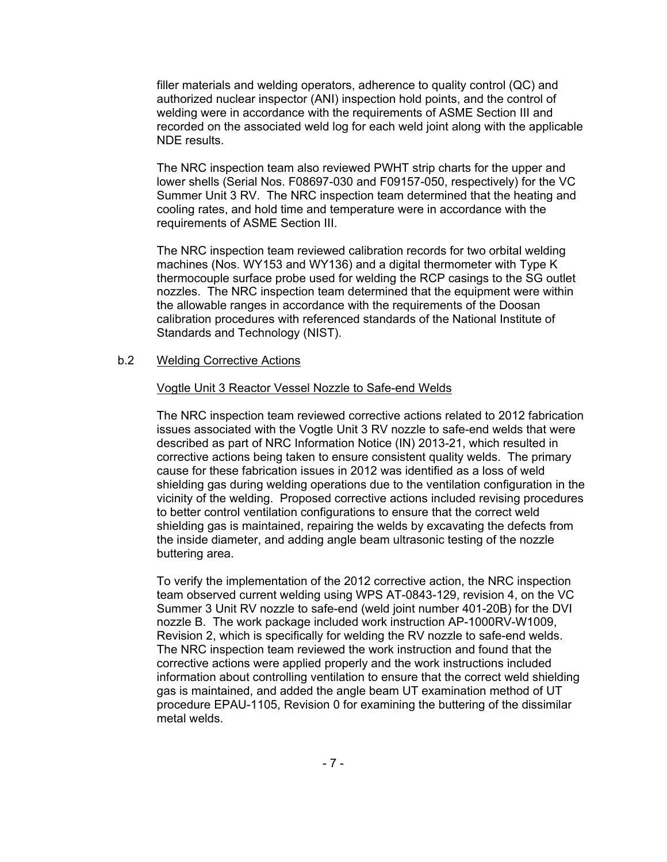filler materials and welding operators, adherence to quality control (QC) and authorized nuclear inspector (ANI) inspection hold points, and the control of welding were in accordance with the requirements of ASME Section III and recorded on the associated weld log for each weld joint along with the applicable NDE results.

The NRC inspection team also reviewed PWHT strip charts for the upper and lower shells (Serial Nos. F08697-030 and F09157-050, respectively) for the VC Summer Unit 3 RV. The NRC inspection team determined that the heating and cooling rates, and hold time and temperature were in accordance with the requirements of ASME Section III.

The NRC inspection team reviewed calibration records for two orbital welding machines (Nos. WY153 and WY136) and a digital thermometer with Type K thermocouple surface probe used for welding the RCP casings to the SG outlet nozzles. The NRC inspection team determined that the equipment were within the allowable ranges in accordance with the requirements of the Doosan calibration procedures with referenced standards of the National Institute of Standards and Technology (NIST).

#### b.2 Welding Corrective Actions

#### Vogtle Unit 3 Reactor Vessel Nozzle to Safe-end Welds

The NRC inspection team reviewed corrective actions related to 2012 fabrication issues associated with the Vogtle Unit 3 RV nozzle to safe-end welds that were described as part of NRC Information Notice (IN) 2013-21, which resulted in corrective actions being taken to ensure consistent quality welds. The primary cause for these fabrication issues in 2012 was identified as a loss of weld shielding gas during welding operations due to the ventilation configuration in the vicinity of the welding. Proposed corrective actions included revising procedures to better control ventilation configurations to ensure that the correct weld shielding gas is maintained, repairing the welds by excavating the defects from the inside diameter, and adding angle beam ultrasonic testing of the nozzle buttering area.

To verify the implementation of the 2012 corrective action, the NRC inspection team observed current welding using WPS AT-0843-129, revision 4, on the VC Summer 3 Unit RV nozzle to safe-end (weld joint number 401-20B) for the DVI nozzle B. The work package included work instruction AP-1000RV-W1009, Revision 2, which is specifically for welding the RV nozzle to safe-end welds. The NRC inspection team reviewed the work instruction and found that the corrective actions were applied properly and the work instructions included information about controlling ventilation to ensure that the correct weld shielding gas is maintained, and added the angle beam UT examination method of UT procedure EPAU-1105, Revision 0 for examining the buttering of the dissimilar metal welds.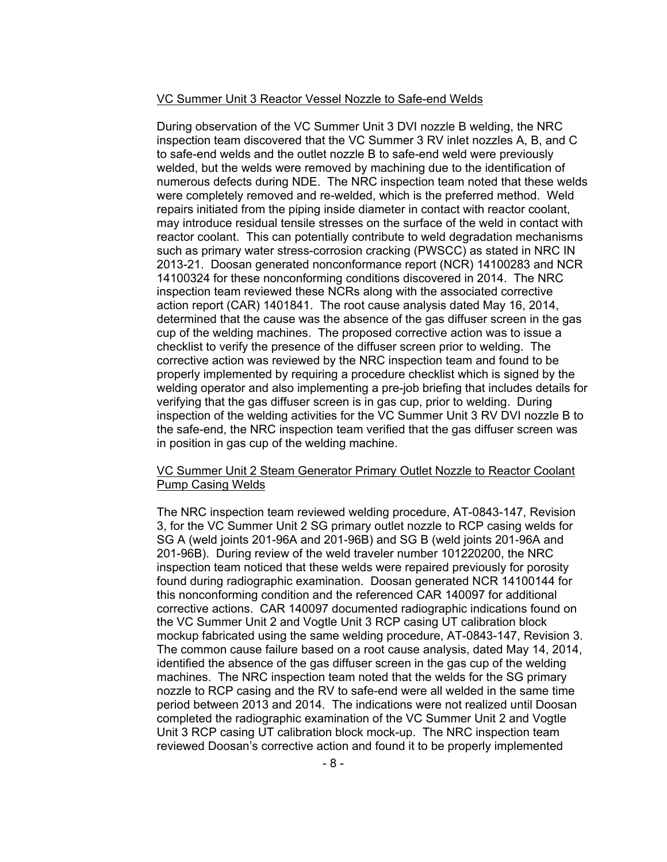#### VC Summer Unit 3 Reactor Vessel Nozzle to Safe-end Welds

During observation of the VC Summer Unit 3 DVI nozzle B welding, the NRC inspection team discovered that the VC Summer 3 RV inlet nozzles A, B, and C to safe-end welds and the outlet nozzle B to safe-end weld were previously welded, but the welds were removed by machining due to the identification of numerous defects during NDE. The NRC inspection team noted that these welds were completely removed and re-welded, which is the preferred method. Weld repairs initiated from the piping inside diameter in contact with reactor coolant, may introduce residual tensile stresses on the surface of the weld in contact with reactor coolant. This can potentially contribute to weld degradation mechanisms such as primary water stress-corrosion cracking (PWSCC) as stated in NRC IN 2013-21. Doosan generated nonconformance report (NCR) 14100283 and NCR 14100324 for these nonconforming conditions discovered in 2014. The NRC inspection team reviewed these NCRs along with the associated corrective action report (CAR) 1401841. The root cause analysis dated May 16, 2014, determined that the cause was the absence of the gas diffuser screen in the gas cup of the welding machines. The proposed corrective action was to issue a checklist to verify the presence of the diffuser screen prior to welding. The corrective action was reviewed by the NRC inspection team and found to be properly implemented by requiring a procedure checklist which is signed by the welding operator and also implementing a pre-job briefing that includes details for verifying that the gas diffuser screen is in gas cup, prior to welding. During inspection of the welding activities for the VC Summer Unit 3 RV DVI nozzle B to the safe-end, the NRC inspection team verified that the gas diffuser screen was in position in gas cup of the welding machine.

## VC Summer Unit 2 Steam Generator Primary Outlet Nozzle to Reactor Coolant Pump Casing Welds

The NRC inspection team reviewed welding procedure, AT-0843-147, Revision 3, for the VC Summer Unit 2 SG primary outlet nozzle to RCP casing welds for SG A (weld joints 201-96A and 201-96B) and SG B (weld joints 201-96A and 201-96B). During review of the weld traveler number 101220200, the NRC inspection team noticed that these welds were repaired previously for porosity found during radiographic examination. Doosan generated NCR 14100144 for this nonconforming condition and the referenced CAR 140097 for additional corrective actions. CAR 140097 documented radiographic indications found on the VC Summer Unit 2 and Vogtle Unit 3 RCP casing UT calibration block mockup fabricated using the same welding procedure, AT-0843-147, Revision 3. The common cause failure based on a root cause analysis, dated May 14, 2014, identified the absence of the gas diffuser screen in the gas cup of the welding machines. The NRC inspection team noted that the welds for the SG primary nozzle to RCP casing and the RV to safe-end were all welded in the same time period between 2013 and 2014. The indications were not realized until Doosan completed the radiographic examination of the VC Summer Unit 2 and Vogtle Unit 3 RCP casing UT calibration block mock-up. The NRC inspection team reviewed Doosan's corrective action and found it to be properly implemented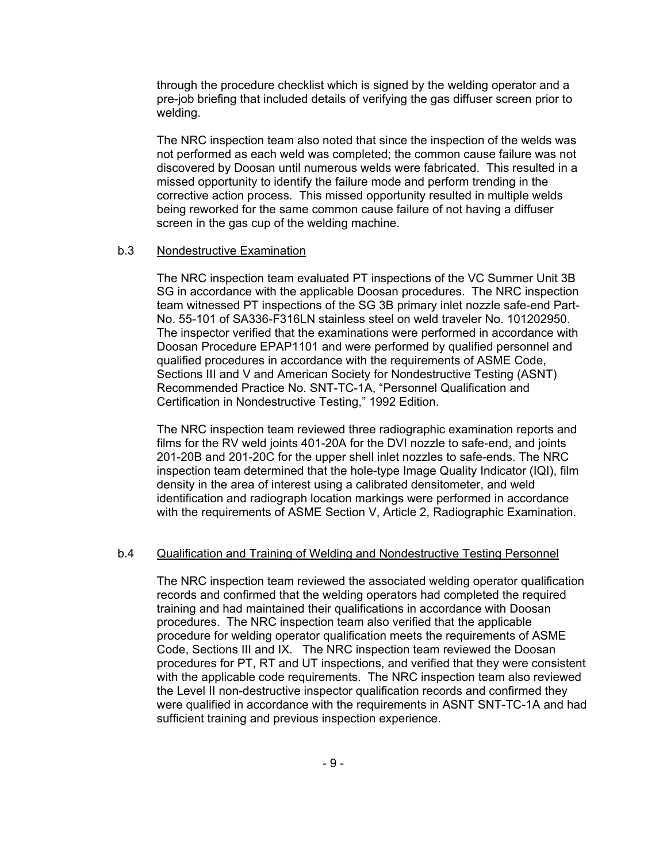through the procedure checklist which is signed by the welding operator and a pre-job briefing that included details of verifying the gas diffuser screen prior to welding.

The NRC inspection team also noted that since the inspection of the welds was not performed as each weld was completed; the common cause failure was not discovered by Doosan until numerous welds were fabricated. This resulted in a missed opportunity to identify the failure mode and perform trending in the corrective action process. This missed opportunity resulted in multiple welds being reworked for the same common cause failure of not having a diffuser screen in the gas cup of the welding machine.

#### b.3 Nondestructive Examination

The NRC inspection team evaluated PT inspections of the VC Summer Unit 3B SG in accordance with the applicable Doosan procedures. The NRC inspection team witnessed PT inspections of the SG 3B primary inlet nozzle safe-end Part-No. 55-101 of SA336-F316LN stainless steel on weld traveler No. 101202950. The inspector verified that the examinations were performed in accordance with Doosan Procedure EPAP1101 and were performed by qualified personnel and qualified procedures in accordance with the requirements of ASME Code, Sections III and V and American Society for Nondestructive Testing (ASNT) Recommended Practice No. SNT-TC-1A, "Personnel Qualification and Certification in Nondestructive Testing," 1992 Edition.

The NRC inspection team reviewed three radiographic examination reports and films for the RV weld joints 401-20A for the DVI nozzle to safe-end, and joints 201-20B and 201-20C for the upper shell inlet nozzles to safe-ends. The NRC inspection team determined that the hole-type Image Quality Indicator (IQI), film density in the area of interest using a calibrated densitometer, and weld identification and radiograph location markings were performed in accordance with the requirements of ASME Section V, Article 2, Radiographic Examination.

## b.4 Qualification and Training of Welding and Nondestructive Testing Personnel

The NRC inspection team reviewed the associated welding operator qualification records and confirmed that the welding operators had completed the required training and had maintained their qualifications in accordance with Doosan procedures. The NRC inspection team also verified that the applicable procedure for welding operator qualification meets the requirements of ASME Code, Sections III and IX. The NRC inspection team reviewed the Doosan procedures for PT, RT and UT inspections, and verified that they were consistent with the applicable code requirements. The NRC inspection team also reviewed the Level II non-destructive inspector qualification records and confirmed they were qualified in accordance with the requirements in ASNT SNT-TC-1A and had sufficient training and previous inspection experience.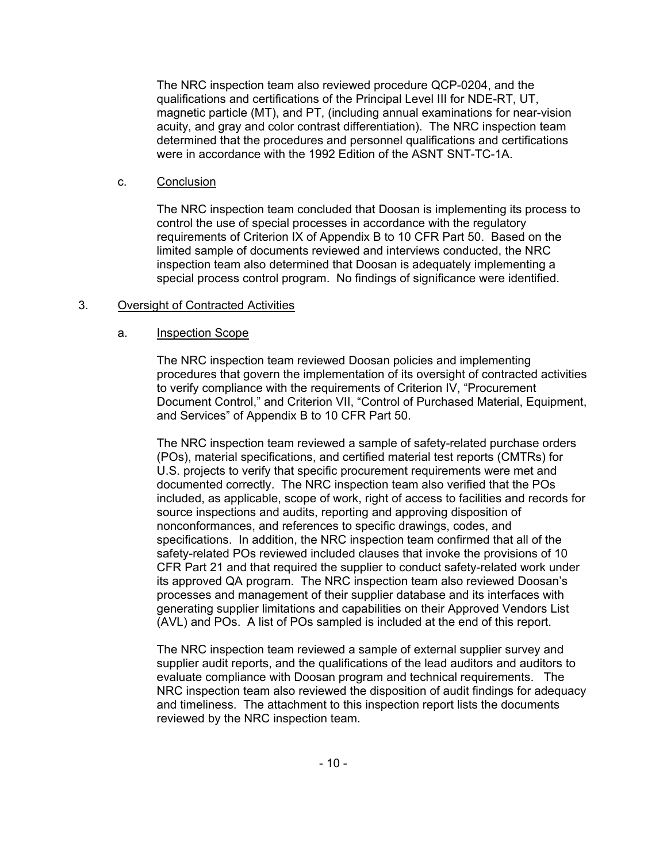The NRC inspection team also reviewed procedure QCP-0204, and the qualifications and certifications of the Principal Level III for NDE-RT, UT, magnetic particle (MT), and PT, (including annual examinations for near-vision acuity, and gray and color contrast differentiation). The NRC inspection team determined that the procedures and personnel qualifications and certifications were in accordance with the 1992 Edition of the ASNT SNT-TC-1A.

## c. Conclusion

The NRC inspection team concluded that Doosan is implementing its process to control the use of special processes in accordance with the regulatory requirements of Criterion IX of Appendix B to 10 CFR Part 50. Based on the limited sample of documents reviewed and interviews conducted, the NRC inspection team also determined that Doosan is adequately implementing a special process control program. No findings of significance were identified.

## 3. Oversight of Contracted Activities

## a. Inspection Scope

The NRC inspection team reviewed Doosan policies and implementing procedures that govern the implementation of its oversight of contracted activities to verify compliance with the requirements of Criterion IV, "Procurement Document Control," and Criterion VII, "Control of Purchased Material, Equipment, and Services" of Appendix B to 10 CFR Part 50.

The NRC inspection team reviewed a sample of safety-related purchase orders (POs), material specifications, and certified material test reports (CMTRs) for U.S. projects to verify that specific procurement requirements were met and documented correctly. The NRC inspection team also verified that the POs included, as applicable, scope of work, right of access to facilities and records for source inspections and audits, reporting and approving disposition of nonconformances, and references to specific drawings, codes, and specifications. In addition, the NRC inspection team confirmed that all of the safety-related POs reviewed included clauses that invoke the provisions of 10 CFR Part 21 and that required the supplier to conduct safety-related work under its approved QA program. The NRC inspection team also reviewed Doosan's processes and management of their supplier database and its interfaces with generating supplier limitations and capabilities on their Approved Vendors List (AVL) and POs. A list of POs sampled is included at the end of this report.

The NRC inspection team reviewed a sample of external supplier survey and supplier audit reports, and the qualifications of the lead auditors and auditors to evaluate compliance with Doosan program and technical requirements. The NRC inspection team also reviewed the disposition of audit findings for adequacy and timeliness. The attachment to this inspection report lists the documents reviewed by the NRC inspection team.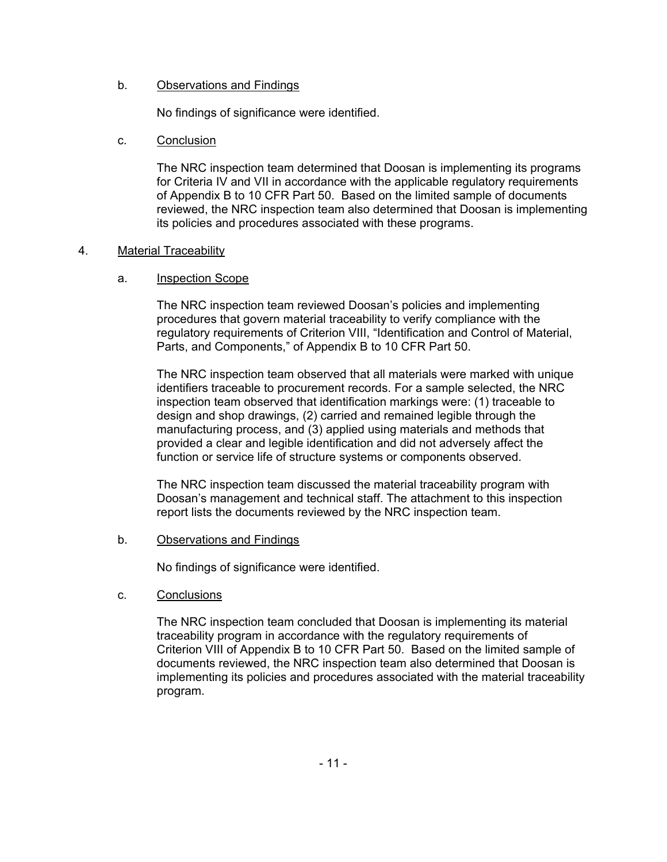## b. Observations and Findings

No findings of significance were identified.

## c. Conclusion

The NRC inspection team determined that Doosan is implementing its programs for Criteria IV and VII in accordance with the applicable regulatory requirements of Appendix B to 10 CFR Part 50. Based on the limited sample of documents reviewed, the NRC inspection team also determined that Doosan is implementing its policies and procedures associated with these programs.

## 4. Material Traceability

## a. Inspection Scope

The NRC inspection team reviewed Doosan's policies and implementing procedures that govern material traceability to verify compliance with the regulatory requirements of Criterion VIII, "Identification and Control of Material, Parts, and Components," of Appendix B to 10 CFR Part 50.

The NRC inspection team observed that all materials were marked with unique identifiers traceable to procurement records. For a sample selected, the NRC inspection team observed that identification markings were: (1) traceable to design and shop drawings, (2) carried and remained legible through the manufacturing process, and (3) applied using materials and methods that provided a clear and legible identification and did not adversely affect the function or service life of structure systems or components observed.

The NRC inspection team discussed the material traceability program with Doosan's management and technical staff. The attachment to this inspection report lists the documents reviewed by the NRC inspection team.

## b. Observations and Findings

No findings of significance were identified.

c. Conclusions

The NRC inspection team concluded that Doosan is implementing its material traceability program in accordance with the regulatory requirements of Criterion VIII of Appendix B to 10 CFR Part 50. Based on the limited sample of documents reviewed, the NRC inspection team also determined that Doosan is implementing its policies and procedures associated with the material traceability program.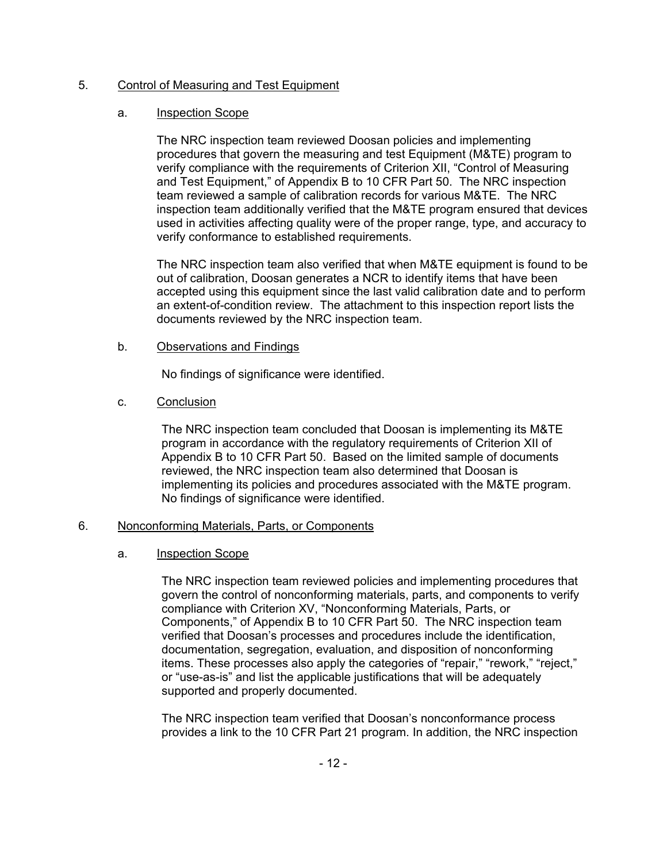## 5. Control of Measuring and Test Equipment

## a. Inspection Scope

The NRC inspection team reviewed Doosan policies and implementing procedures that govern the measuring and test Equipment (M&TE) program to verify compliance with the requirements of Criterion XII, "Control of Measuring and Test Equipment," of Appendix B to 10 CFR Part 50. The NRC inspection team reviewed a sample of calibration records for various M&TE. The NRC inspection team additionally verified that the M&TE program ensured that devices used in activities affecting quality were of the proper range, type, and accuracy to verify conformance to established requirements.

The NRC inspection team also verified that when M&TE equipment is found to be out of calibration, Doosan generates a NCR to identify items that have been accepted using this equipment since the last valid calibration date and to perform an extent-of-condition review. The attachment to this inspection report lists the documents reviewed by the NRC inspection team.

## b. Observations and Findings

No findings of significance were identified.

## c. Conclusion

The NRC inspection team concluded that Doosan is implementing its M&TE program in accordance with the regulatory requirements of Criterion XII of Appendix B to 10 CFR Part 50. Based on the limited sample of documents reviewed, the NRC inspection team also determined that Doosan is implementing its policies and procedures associated with the M&TE program. No findings of significance were identified.

## 6. Nonconforming Materials, Parts, or Components

## a. Inspection Scope

The NRC inspection team reviewed policies and implementing procedures that govern the control of nonconforming materials, parts, and components to verify compliance with Criterion XV, "Nonconforming Materials, Parts, or Components," of Appendix B to 10 CFR Part 50. The NRC inspection team verified that Doosan's processes and procedures include the identification, documentation, segregation, evaluation, and disposition of nonconforming items. These processes also apply the categories of "repair," "rework," "reject," or "use-as-is" and list the applicable justifications that will be adequately supported and properly documented.

The NRC inspection team verified that Doosan's nonconformance process provides a link to the 10 CFR Part 21 program. In addition, the NRC inspection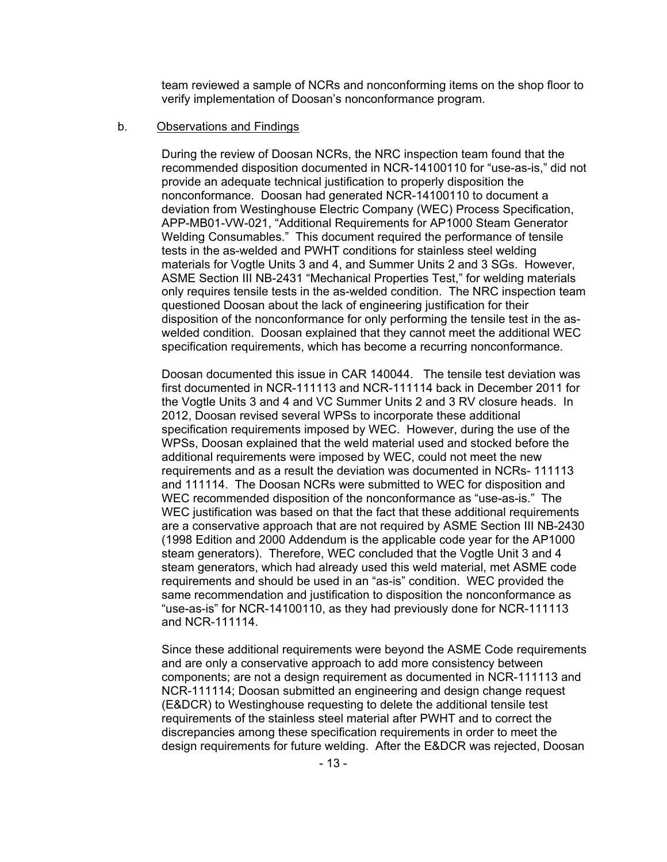team reviewed a sample of NCRs and nonconforming items on the shop floor to verify implementation of Doosan's nonconformance program.

#### b. Observations and Findings

During the review of Doosan NCRs, the NRC inspection team found that the recommended disposition documented in NCR-14100110 for "use-as-is," did not provide an adequate technical justification to properly disposition the nonconformance. Doosan had generated NCR-14100110 to document a deviation from Westinghouse Electric Company (WEC) Process Specification, APP-MB01-VW-021, "Additional Requirements for AP1000 Steam Generator Welding Consumables." This document required the performance of tensile tests in the as-welded and PWHT conditions for stainless steel welding materials for Vogtle Units 3 and 4, and Summer Units 2 and 3 SGs. However, ASME Section III NB-2431 "Mechanical Properties Test," for welding materials only requires tensile tests in the as-welded condition. The NRC inspection team questioned Doosan about the lack of engineering justification for their disposition of the nonconformance for only performing the tensile test in the aswelded condition. Doosan explained that they cannot meet the additional WEC specification requirements, which has become a recurring nonconformance.

Doosan documented this issue in CAR 140044. The tensile test deviation was first documented in NCR-111113 and NCR-111114 back in December 2011 for the Vogtle Units 3 and 4 and VC Summer Units 2 and 3 RV closure heads. In 2012, Doosan revised several WPSs to incorporate these additional specification requirements imposed by WEC. However, during the use of the WPSs, Doosan explained that the weld material used and stocked before the additional requirements were imposed by WEC, could not meet the new requirements and as a result the deviation was documented in NCRs- 111113 and 111114. The Doosan NCRs were submitted to WEC for disposition and WEC recommended disposition of the nonconformance as "use-as-is." The WEC justification was based on that the fact that these additional requirements are a conservative approach that are not required by ASME Section III NB-2430 (1998 Edition and 2000 Addendum is the applicable code year for the AP1000 steam generators). Therefore, WEC concluded that the Vogtle Unit 3 and 4 steam generators, which had already used this weld material, met ASME code requirements and should be used in an "as-is" condition. WEC provided the same recommendation and justification to disposition the nonconformance as "use-as-is" for NCR-14100110, as they had previously done for NCR-111113 and NCR-111114.

Since these additional requirements were beyond the ASME Code requirements and are only a conservative approach to add more consistency between components; are not a design requirement as documented in NCR-111113 and NCR-111114; Doosan submitted an engineering and design change request (E&DCR) to Westinghouse requesting to delete the additional tensile test requirements of the stainless steel material after PWHT and to correct the discrepancies among these specification requirements in order to meet the design requirements for future welding. After the E&DCR was rejected, Doosan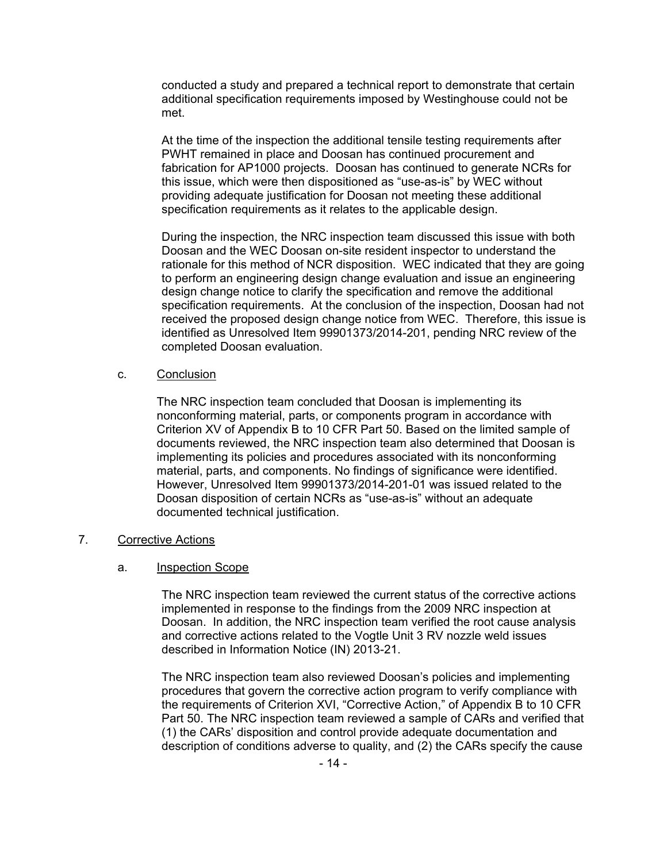conducted a study and prepared a technical report to demonstrate that certain additional specification requirements imposed by Westinghouse could not be met.

At the time of the inspection the additional tensile testing requirements after PWHT remained in place and Doosan has continued procurement and fabrication for AP1000 projects. Doosan has continued to generate NCRs for this issue, which were then dispositioned as "use-as-is" by WEC without providing adequate justification for Doosan not meeting these additional specification requirements as it relates to the applicable design.

During the inspection, the NRC inspection team discussed this issue with both Doosan and the WEC Doosan on-site resident inspector to understand the rationale for this method of NCR disposition. WEC indicated that they are going to perform an engineering design change evaluation and issue an engineering design change notice to clarify the specification and remove the additional specification requirements. At the conclusion of the inspection, Doosan had not received the proposed design change notice from WEC. Therefore, this issue is identified as Unresolved Item 99901373/2014-201, pending NRC review of the completed Doosan evaluation.

#### c. Conclusion

The NRC inspection team concluded that Doosan is implementing its nonconforming material, parts, or components program in accordance with Criterion XV of Appendix B to 10 CFR Part 50. Based on the limited sample of documents reviewed, the NRC inspection team also determined that Doosan is implementing its policies and procedures associated with its nonconforming material, parts, and components. No findings of significance were identified. However, Unresolved Item 99901373/2014-201-01 was issued related to the Doosan disposition of certain NCRs as "use-as-is" without an adequate documented technical justification.

#### 7. Corrective Actions

## a. Inspection Scope

The NRC inspection team reviewed the current status of the corrective actions implemented in response to the findings from the 2009 NRC inspection at Doosan. In addition, the NRC inspection team verified the root cause analysis and corrective actions related to the Vogtle Unit 3 RV nozzle weld issues described in Information Notice (IN) 2013-21.

The NRC inspection team also reviewed Doosan's policies and implementing procedures that govern the corrective action program to verify compliance with the requirements of Criterion XVI, "Corrective Action," of Appendix B to 10 CFR Part 50. The NRC inspection team reviewed a sample of CARs and verified that (1) the CARs' disposition and control provide adequate documentation and description of conditions adverse to quality, and (2) the CARs specify the cause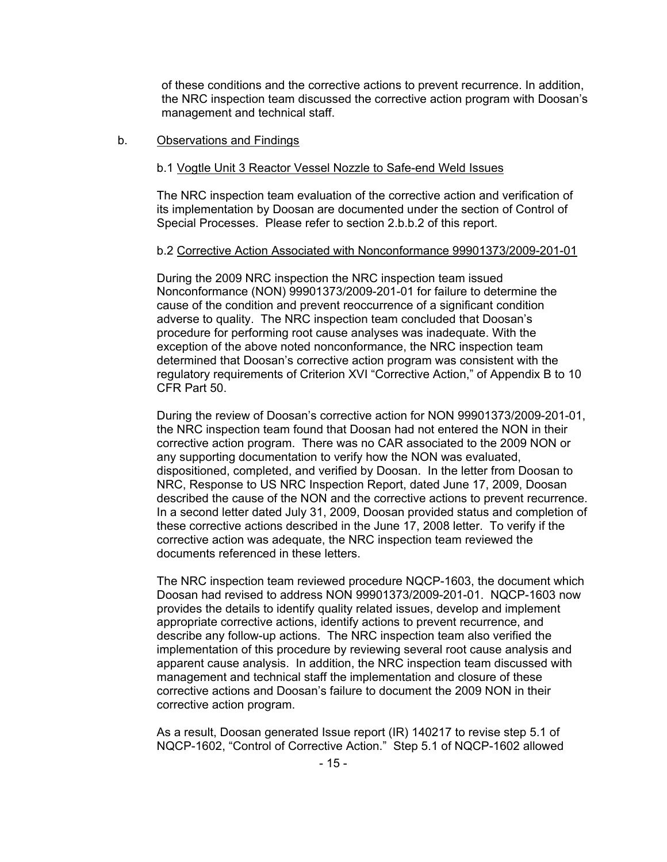of these conditions and the corrective actions to prevent recurrence. In addition, the NRC inspection team discussed the corrective action program with Doosan's management and technical staff.

#### b. Observations and Findings

#### b.1 Vogtle Unit 3 Reactor Vessel Nozzle to Safe-end Weld Issues

The NRC inspection team evaluation of the corrective action and verification of its implementation by Doosan are documented under the section of Control of Special Processes. Please refer to section 2.b.b.2 of this report.

#### b.2 Corrective Action Associated with Nonconformance 99901373/2009-201-01

During the 2009 NRC inspection the NRC inspection team issued Nonconformance (NON) 99901373/2009-201-01 for failure to determine the cause of the condition and prevent reoccurrence of a significant condition adverse to quality. The NRC inspection team concluded that Doosan's procedure for performing root cause analyses was inadequate. With the exception of the above noted nonconformance, the NRC inspection team determined that Doosan's corrective action program was consistent with the regulatory requirements of Criterion XVI "Corrective Action," of Appendix B to 10 CFR Part 50.

During the review of Doosan's corrective action for NON 99901373/2009-201-01, the NRC inspection team found that Doosan had not entered the NON in their corrective action program. There was no CAR associated to the 2009 NON or any supporting documentation to verify how the NON was evaluated, dispositioned, completed, and verified by Doosan. In the letter from Doosan to NRC, Response to US NRC Inspection Report, dated June 17, 2009, Doosan described the cause of the NON and the corrective actions to prevent recurrence. In a second letter dated July 31, 2009, Doosan provided status and completion of these corrective actions described in the June 17, 2008 letter. To verify if the corrective action was adequate, the NRC inspection team reviewed the documents referenced in these letters.

The NRC inspection team reviewed procedure NQCP-1603, the document which Doosan had revised to address NON 99901373/2009-201-01. NQCP-1603 now provides the details to identify quality related issues, develop and implement appropriate corrective actions, identify actions to prevent recurrence, and describe any follow-up actions. The NRC inspection team also verified the implementation of this procedure by reviewing several root cause analysis and apparent cause analysis. In addition, the NRC inspection team discussed with management and technical staff the implementation and closure of these corrective actions and Doosan's failure to document the 2009 NON in their corrective action program.

As a result, Doosan generated Issue report (IR) 140217 to revise step 5.1 of NQCP-1602, "Control of Corrective Action." Step 5.1 of NQCP-1602 allowed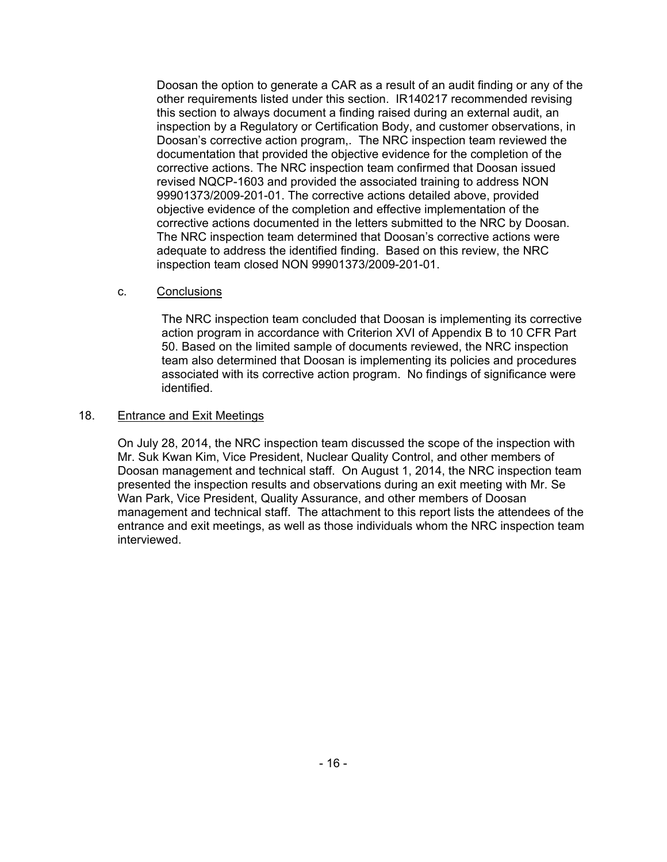Doosan the option to generate a CAR as a result of an audit finding or any of the other requirements listed under this section. IR140217 recommended revising this section to always document a finding raised during an external audit, an inspection by a Regulatory or Certification Body, and customer observations, in Doosan's corrective action program,. The NRC inspection team reviewed the documentation that provided the objective evidence for the completion of the corrective actions. The NRC inspection team confirmed that Doosan issued revised NQCP-1603 and provided the associated training to address NON 99901373/2009-201-01. The corrective actions detailed above, provided objective evidence of the completion and effective implementation of the corrective actions documented in the letters submitted to the NRC by Doosan. The NRC inspection team determined that Doosan's corrective actions were adequate to address the identified finding. Based on this review, the NRC inspection team closed NON 99901373/2009-201-01.

## c. Conclusions

The NRC inspection team concluded that Doosan is implementing its corrective action program in accordance with Criterion XVI of Appendix B to 10 CFR Part 50. Based on the limited sample of documents reviewed, the NRC inspection team also determined that Doosan is implementing its policies and procedures associated with its corrective action program. No findings of significance were identified.

## 18. Entrance and Exit Meetings

On July 28, 2014, the NRC inspection team discussed the scope of the inspection with Mr. Suk Kwan Kim, Vice President, Nuclear Quality Control, and other members of Doosan management and technical staff. On August 1, 2014, the NRC inspection team presented the inspection results and observations during an exit meeting with Mr. Se Wan Park, Vice President, Quality Assurance, and other members of Doosan management and technical staff. The attachment to this report lists the attendees of the entrance and exit meetings, as well as those individuals whom the NRC inspection team interviewed.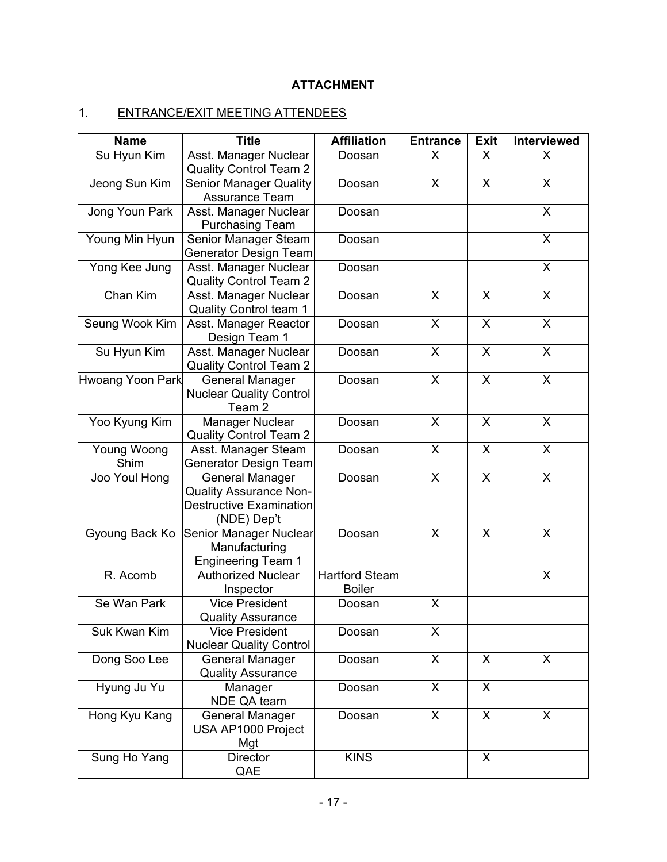# **ATTACHMENT**

# 1. ENTRANCE/EXIT MEETING ATTENDEES

| <b>Name</b>             | <b>Title</b>                                                                                             | <b>Affiliation</b>                     | <b>Entrance</b> | <b>Exit</b>             | Interviewed  |
|-------------------------|----------------------------------------------------------------------------------------------------------|----------------------------------------|-----------------|-------------------------|--------------|
| Su Hyun Kim             | Asst. Manager Nuclear<br><b>Quality Control Team 2</b>                                                   | Doosan                                 | X               | X                       | X            |
| Jeong Sun Kim           | <b>Senior Manager Quality</b><br>Assurance Team                                                          | Doosan                                 | X               | X                       | X            |
| Jong Youn Park          | Asst. Manager Nuclear<br><b>Purchasing Team</b>                                                          | Doosan                                 |                 |                         | X            |
| Young Min Hyun          | Senior Manager Steam<br>Generator Design Team                                                            | Doosan                                 |                 |                         | X            |
| Yong Kee Jung           | Asst. Manager Nuclear<br><b>Quality Control Team 2</b>                                                   | Doosan                                 |                 |                         | X            |
| Chan Kim                | Asst. Manager Nuclear<br><b>Quality Control team 1</b>                                                   | Doosan                                 | X               | X                       | X            |
| Seung Wook Kim          | Asst. Manager Reactor<br>Design Team 1                                                                   | Doosan                                 | X               | X                       | X            |
| Su Hyun Kim             | Asst. Manager Nuclear<br><b>Quality Control Team 2</b>                                                   | Doosan                                 | X               | $\overline{\mathsf{X}}$ | X            |
| <b>Hwoang Yoon Park</b> | <b>General Manager</b><br><b>Nuclear Quality Control</b><br>Team <sub>2</sub>                            | Doosan                                 | X               | X                       | X            |
| Yoo Kyung Kim           | Manager Nuclear<br><b>Quality Control Team 2</b>                                                         | Doosan                                 | X               | X                       | X            |
| Young Woong<br>Shim     | Asst. Manager Steam<br>Generator Design Team                                                             | Doosan                                 | X               | $\mathsf{X}$            | X            |
| Joo Youl Hong           | <b>General Manager</b><br><b>Quality Assurance Non-</b><br><b>Destructive Examination</b><br>(NDE) Dep't | Doosan                                 | X               | X                       | X            |
| Gyoung Back Ko          | Senior Manager Nuclear<br>Manufacturing<br><b>Engineering Team 1</b>                                     | Doosan                                 | X               | X                       | X            |
| R. Acomb                | Authorized Nuclear<br>Inspector                                                                          | <b>Hartford Steam</b><br><b>Boiler</b> |                 |                         | X            |
| Se Wan Park             | <b>Vice President</b><br><b>Quality Assurance</b>                                                        | Doosan                                 | X               |                         |              |
| Suk Kwan Kim            | <b>Vice President</b><br><b>Nuclear Quality Control</b>                                                  | Doosan                                 | X               |                         |              |
| Dong Soo Lee            | General Manager<br><b>Quality Assurance</b>                                                              | Doosan                                 | X               | X                       | $\mathsf{X}$ |
| Hyung Ju Yu             | Manager<br>NDE QA team                                                                                   | Doosan                                 | X               | X                       |              |
| Hong Kyu Kang           | <b>General Manager</b><br>USA AP1000 Project<br>Mgt                                                      | Doosan                                 | X               | X                       | X            |
| Sung Ho Yang            | Director<br>QAE                                                                                          | <b>KINS</b>                            |                 | X                       |              |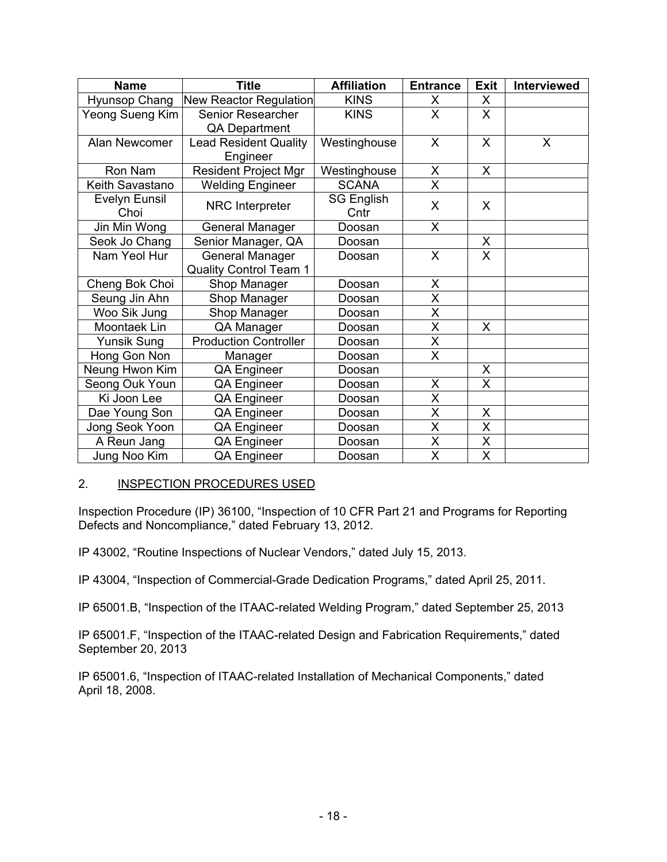| <b>Name</b>          | <b>Title</b>                  | <b>Affiliation</b> | <b>Entrance</b> | <b>Exit</b>  | <b>Interviewed</b> |
|----------------------|-------------------------------|--------------------|-----------------|--------------|--------------------|
| Hyunsop Chang        | New Reactor Regulation        | <b>KINS</b>        | X               | X            |                    |
| Yeong Sueng Kim      | Senior Researcher             | <b>KINS</b>        | X               | $\mathsf{X}$ |                    |
|                      | QA Department                 |                    |                 |              |                    |
| Alan Newcomer        | <b>Lead Resident Quality</b>  | Westinghouse       | X               | $\times$     | X                  |
|                      | Engineer                      |                    |                 |              |                    |
| Ron Nam              | <b>Resident Project Mgr</b>   | Westinghouse       | X               | X            |                    |
| Keith Savastano      | <b>Welding Engineer</b>       | <b>SCANA</b>       | X               |              |                    |
| <b>Evelyn Eunsil</b> | NRC Interpreter               | <b>SG English</b>  | X               | X            |                    |
| Choi                 |                               | Cntr               |                 |              |                    |
| Jin Min Wong         | General Manager               | Doosan             | X               |              |                    |
| Seok Jo Chang        | Senior Manager, QA            | Doosan             |                 | X            |                    |
| Nam Yeol Hur         | <b>General Manager</b>        | Doosan             | $\mathsf{X}$    | $\mathsf{x}$ |                    |
|                      | <b>Quality Control Team 1</b> |                    |                 |              |                    |
| Cheng Bok Choi       | Shop Manager                  | Doosan             | X               |              |                    |
| Seung Jin Ahn        | Shop Manager                  | Doosan             | X               |              |                    |
| Woo Sik Jung         | Shop Manager                  | Doosan             | X               |              |                    |
| Moontaek Lin         | QA Manager                    | Doosan             | X               | X            |                    |
| <b>Yunsik Sung</b>   | <b>Production Controller</b>  | Doosan             | X               |              |                    |
| Hong Gon Non         | Manager                       | Doosan             | X               |              |                    |
| Neung Hwon Kim       | QA Engineer                   | Doosan             |                 | X            |                    |
| Seong Ouk Youn       | QA Engineer                   | Doosan             | X               | X            |                    |
| Ki Joon Lee          | QA Engineer                   | Doosan             | X               |              |                    |
| Dae Young Son        | QA Engineer                   | Doosan             | X               | X            |                    |
| Jong Seok Yoon       | QA Engineer                   | Doosan             | X               | X            |                    |
| A Reun Jang          | QA Engineer                   | Doosan             | X               | X            |                    |
| Jung Noo Kim         | QA Engineer                   | Doosan             | X               | X            |                    |

## 2. INSPECTION PROCEDURES USED

Inspection Procedure (IP) 36100, "Inspection of 10 CFR Part 21 and Programs for Reporting Defects and Noncompliance," dated February 13, 2012.

IP 43002, "Routine Inspections of Nuclear Vendors," dated July 15, 2013.

IP 43004, "Inspection of Commercial-Grade Dedication Programs," dated April 25, 2011.

IP 65001.B, "Inspection of the ITAAC-related Welding Program," dated September 25, 2013

IP 65001.F, "Inspection of the ITAAC-related Design and Fabrication Requirements," dated September 20, 2013

IP 65001.6, "Inspection of ITAAC-related Installation of Mechanical Components," dated April 18, 2008.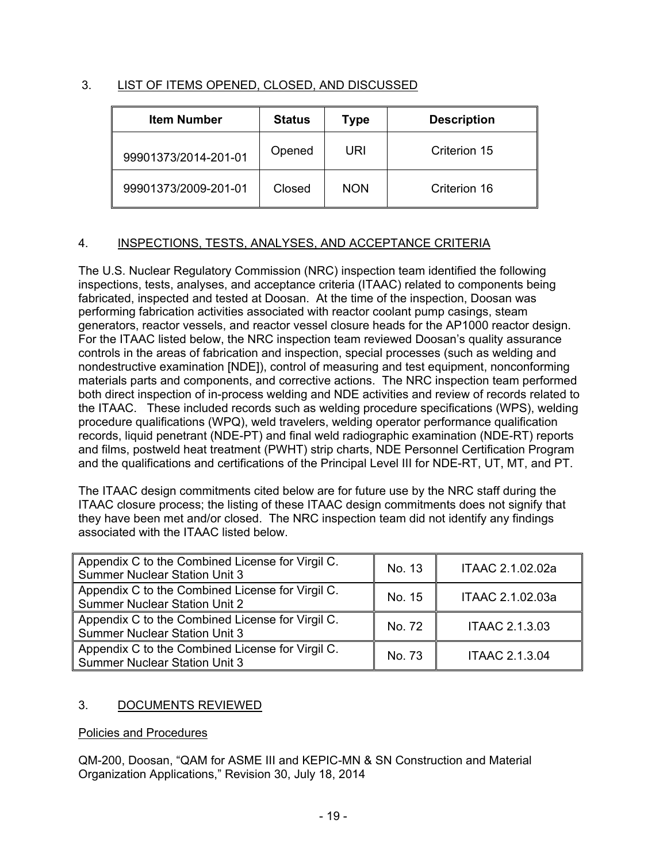# 3. LIST OF ITEMS OPENED, CLOSED, AND DISCUSSED

| <b>Item Number</b>   | <b>Status</b> | Type       | <b>Description</b> |
|----------------------|---------------|------------|--------------------|
| 99901373/2014-201-01 | Opened        | URI        | Criterion 15       |
| 99901373/2009-201-01 | Closed        | <b>NON</b> | Criterion 16       |

# 4. INSPECTIONS, TESTS, ANALYSES, AND ACCEPTANCE CRITERIA

The U.S. Nuclear Regulatory Commission (NRC) inspection team identified the following inspections, tests, analyses, and acceptance criteria (ITAAC) related to components being fabricated, inspected and tested at Doosan. At the time of the inspection, Doosan was performing fabrication activities associated with reactor coolant pump casings, steam generators, reactor vessels, and reactor vessel closure heads for the AP1000 reactor design. For the ITAAC listed below, the NRC inspection team reviewed Doosan's quality assurance controls in the areas of fabrication and inspection, special processes (such as welding and nondestructive examination [NDE]), control of measuring and test equipment, nonconforming materials parts and components, and corrective actions. The NRC inspection team performed both direct inspection of in-process welding and NDE activities and review of records related to the ITAAC. These included records such as welding procedure specifications (WPS), welding procedure qualifications (WPQ), weld travelers, welding operator performance qualification records, liquid penetrant (NDE-PT) and final weld radiographic examination (NDE-RT) reports and films, postweld heat treatment (PWHT) strip charts, NDE Personnel Certification Program and the qualifications and certifications of the Principal Level III for NDE-RT, UT, MT, and PT.

The ITAAC design commitments cited below are for future use by the NRC staff during the ITAAC closure process; the listing of these ITAAC design commitments does not signify that they have been met and/or closed. The NRC inspection team did not identify any findings associated with the ITAAC listed below.

| Appendix C to the Combined License for Virgil C.<br><b>Summer Nuclear Station Unit 3</b> | No. 13 | ITAAC 2.1.02.02a      |
|------------------------------------------------------------------------------------------|--------|-----------------------|
| Appendix C to the Combined License for Virgil C.<br><b>Summer Nuclear Station Unit 2</b> | No. 15 | ITAAC 2.1.02.03a      |
| Appendix C to the Combined License for Virgil C.<br><b>Summer Nuclear Station Unit 3</b> | No. 72 | <b>ITAAC 2.1.3.03</b> |
| Appendix C to the Combined License for Virgil C.<br><b>Summer Nuclear Station Unit 3</b> | No. 73 | <b>ITAAC 2.1.3.04</b> |

# 3. DOCUMENTS REVIEWED

## Policies and Procedures

QM-200, Doosan, "QAM for ASME III and KEPIC-MN & SN Construction and Material Organization Applications," Revision 30, July 18, 2014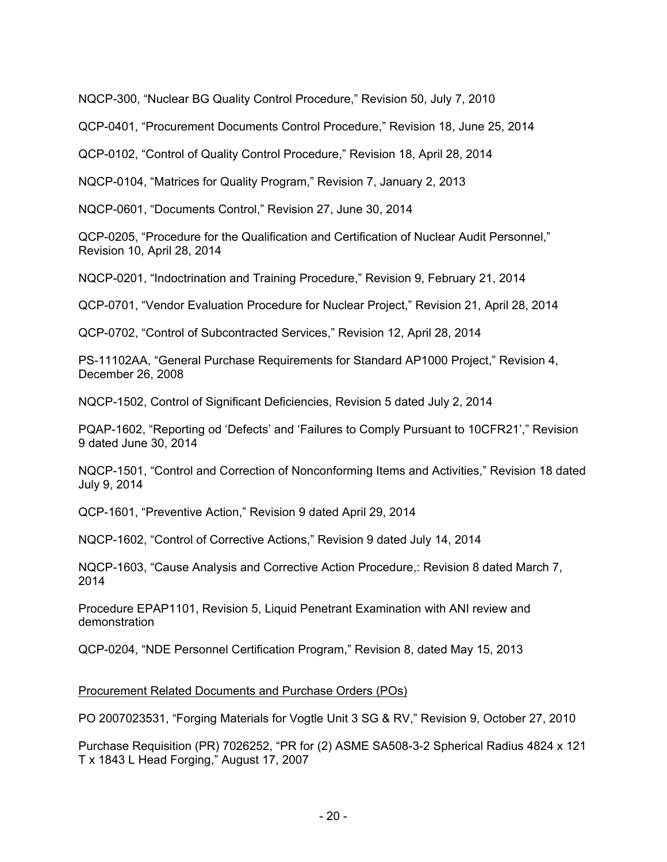NQCP-300, "Nuclear BG Quality Control Procedure," Revision 50, July 7, 2010

QCP-0401, "Procurement Documents Control Procedure," Revision 18, June 25, 2014

QCP-0102, "Control of Quality Control Procedure," Revision 18, April 28, 2014

NQCP-0104, "Matrices for Quality Program," Revision 7, January 2, 2013

NQCP-0601, "Documents Control," Revision 27, June 30, 2014

QCP-0205, "Procedure for the Qualification and Certification of Nuclear Audit Personnel," Revision 10, April 28, 2014

NQCP-0201, "Indoctrination and Training Procedure," Revision 9, February 21, 2014

QCP-0701, "Vendor Evaluation Procedure for Nuclear Project," Revision 21, April 28, 2014

QCP-0702, "Control of Subcontracted Services," Revision 12, April 28, 2014

PS-11102AA, "General Purchase Requirements for Standard AP1000 Project," Revision 4, December 26, 2008

NQCP-1502, Control of Significant Deficiencies, Revision 5 dated July 2, 2014

PQAP-1602, "Reporting od 'Defects' and 'Failures to Comply Pursuant to 10CFR21'," Revision 9 dated June 30, 2014

NQCP-1501, "Control and Correction of Nonconforming Items and Activities," Revision 18 dated July 9, 2014

QCP-1601, "Preventive Action," Revision 9 dated April 29, 2014

NQCP-1602, "Control of Corrective Actions," Revision 9 dated July 14, 2014

NQCP-1603, "Cause Analysis and Corrective Action Procedure,: Revision 8 dated March 7, 2014

Procedure EPAP1101, Revision 5, Liquid Penetrant Examination with ANI review and demonstration

QCP-0204, "NDE Personnel Certification Program," Revision 8, dated May 15, 2013

## Procurement Related Documents and Purchase Orders (POs)

PO 2007023531, "Forging Materials for Vogtle Unit 3 SG & RV," Revision 9, October 27, 2010

Purchase Requisition (PR) 7026252, "PR for (2) ASME SA508-3-2 Spherical Radius 4824 x 121 T x 1843 L Head Forging," August 17, 2007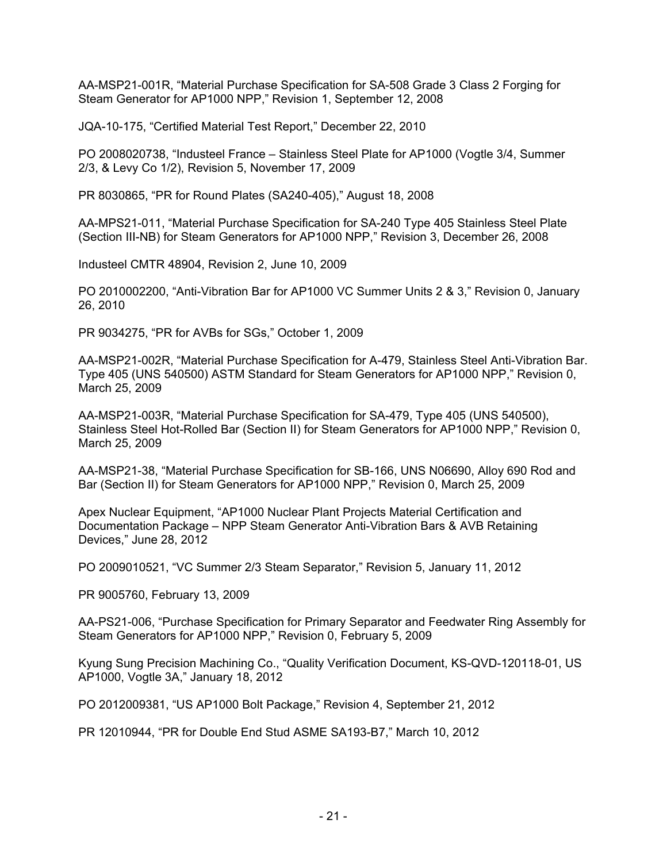AA-MSP21-001R, "Material Purchase Specification for SA-508 Grade 3 Class 2 Forging for Steam Generator for AP1000 NPP," Revision 1, September 12, 2008

JQA-10-175, "Certified Material Test Report," December 22, 2010

PO 2008020738, "Industeel France – Stainless Steel Plate for AP1000 (Vogtle 3/4, Summer 2/3, & Levy Co 1/2), Revision 5, November 17, 2009

PR 8030865, "PR for Round Plates (SA240-405)," August 18, 2008

AA-MPS21-011, "Material Purchase Specification for SA-240 Type 405 Stainless Steel Plate (Section III-NB) for Steam Generators for AP1000 NPP," Revision 3, December 26, 2008

Industeel CMTR 48904, Revision 2, June 10, 2009

PO 2010002200, "Anti-Vibration Bar for AP1000 VC Summer Units 2 & 3," Revision 0, January 26, 2010

PR 9034275, "PR for AVBs for SGs," October 1, 2009

AA-MSP21-002R, "Material Purchase Specification for A-479, Stainless Steel Anti-Vibration Bar. Type 405 (UNS 540500) ASTM Standard for Steam Generators for AP1000 NPP," Revision 0, March 25, 2009

AA-MSP21-003R, "Material Purchase Specification for SA-479, Type 405 (UNS 540500), Stainless Steel Hot-Rolled Bar (Section II) for Steam Generators for AP1000 NPP," Revision 0, March 25, 2009

AA-MSP21-38, "Material Purchase Specification for SB-166, UNS N06690, Alloy 690 Rod and Bar (Section II) for Steam Generators for AP1000 NPP," Revision 0, March 25, 2009

Apex Nuclear Equipment, "AP1000 Nuclear Plant Projects Material Certification and Documentation Package – NPP Steam Generator Anti-Vibration Bars & AVB Retaining Devices," June 28, 2012

PO 2009010521, "VC Summer 2/3 Steam Separator," Revision 5, January 11, 2012

PR 9005760, February 13, 2009

AA-PS21-006, "Purchase Specification for Primary Separator and Feedwater Ring Assembly for Steam Generators for AP1000 NPP," Revision 0, February 5, 2009

Kyung Sung Precision Machining Co., "Quality Verification Document, KS-QVD-120118-01, US AP1000, Vogtle 3A," January 18, 2012

PO 2012009381, "US AP1000 Bolt Package," Revision 4, September 21, 2012

PR 12010944, "PR for Double End Stud ASME SA193-B7," March 10, 2012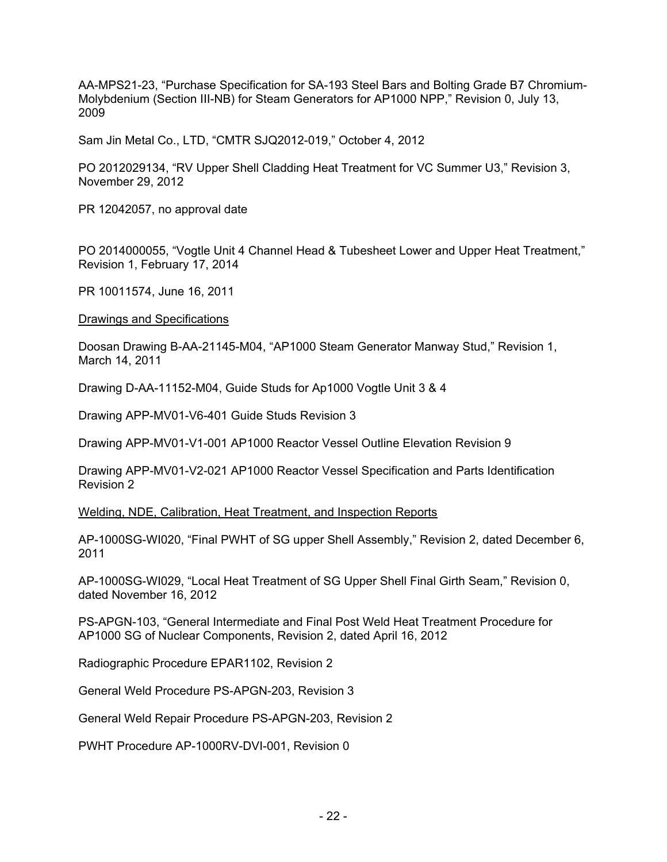AA-MPS21-23, "Purchase Specification for SA-193 Steel Bars and Bolting Grade B7 Chromium-Molybdenium (Section III-NB) for Steam Generators for AP1000 NPP," Revision 0, July 13, 2009

Sam Jin Metal Co., LTD, "CMTR SJQ2012-019," October 4, 2012

PO 2012029134, "RV Upper Shell Cladding Heat Treatment for VC Summer U3," Revision 3, November 29, 2012

PR 12042057, no approval date

PO 2014000055, "Vogtle Unit 4 Channel Head & Tubesheet Lower and Upper Heat Treatment," Revision 1, February 17, 2014

PR 10011574, June 16, 2011

Drawings and Specifications

Doosan Drawing B-AA-21145-M04, "AP1000 Steam Generator Manway Stud," Revision 1, March 14, 2011

Drawing D-AA-11152-M04, Guide Studs for Ap1000 Vogtle Unit 3 & 4

Drawing APP-MV01-V6-401 Guide Studs Revision 3

Drawing APP-MV01-V1-001 AP1000 Reactor Vessel Outline Elevation Revision 9

Drawing APP-MV01-V2-021 AP1000 Reactor Vessel Specification and Parts Identification Revision 2

Welding, NDE, Calibration, Heat Treatment, and Inspection Reports

AP-1000SG-WI020, "Final PWHT of SG upper Shell Assembly," Revision 2, dated December 6, 2011

AP-1000SG-WI029, "Local Heat Treatment of SG Upper Shell Final Girth Seam," Revision 0, dated November 16, 2012

PS-APGN-103, "General Intermediate and Final Post Weld Heat Treatment Procedure for AP1000 SG of Nuclear Components, Revision 2, dated April 16, 2012

Radiographic Procedure EPAR1102, Revision 2

General Weld Procedure PS-APGN-203, Revision 3

General Weld Repair Procedure PS-APGN-203, Revision 2

PWHT Procedure AP-1000RV-DVI-001, Revision 0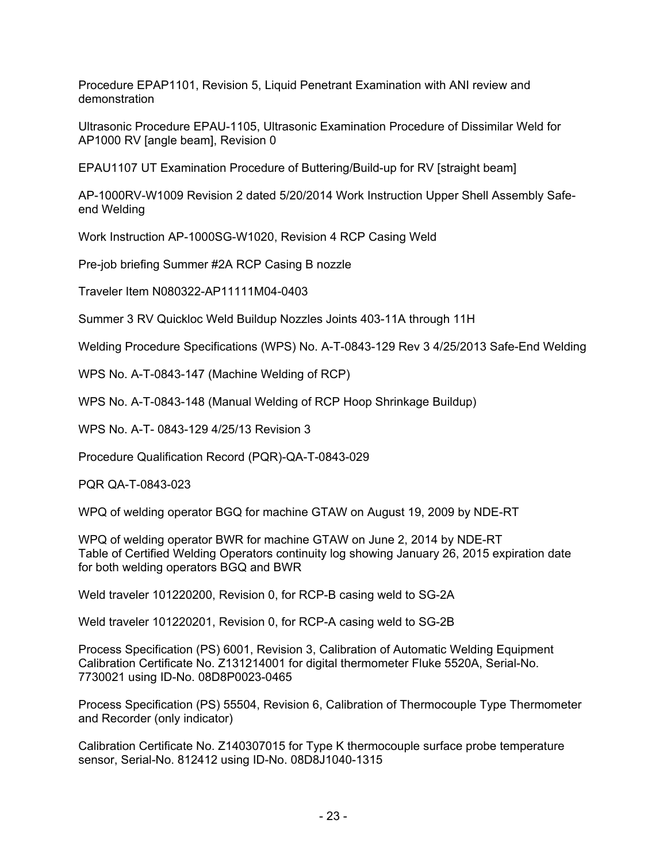Procedure EPAP1101, Revision 5, Liquid Penetrant Examination with ANI review and demonstration

Ultrasonic Procedure EPAU-1105, Ultrasonic Examination Procedure of Dissimilar Weld for AP1000 RV [angle beam], Revision 0

EPAU1107 UT Examination Procedure of Buttering/Build-up for RV [straight beam]

AP-1000RV-W1009 Revision 2 dated 5/20/2014 Work Instruction Upper Shell Assembly Safeend Welding

Work Instruction AP-1000SG-W1020, Revision 4 RCP Casing Weld

Pre-job briefing Summer #2A RCP Casing B nozzle

Traveler Item N080322-AP11111M04-0403

Summer 3 RV Quickloc Weld Buildup Nozzles Joints 403-11A through 11H

Welding Procedure Specifications (WPS) No. A-T-0843-129 Rev 3 4/25/2013 Safe-End Welding

WPS No. A-T-0843-147 (Machine Welding of RCP)

WPS No. A-T-0843-148 (Manual Welding of RCP Hoop Shrinkage Buildup)

WPS No. A-T- 0843-129 4/25/13 Revision 3

Procedure Qualification Record (PQR)-QA-T-0843-029

PQR QA-T-0843-023

WPQ of welding operator BGQ for machine GTAW on August 19, 2009 by NDE-RT

WPQ of welding operator BWR for machine GTAW on June 2, 2014 by NDE-RT Table of Certified Welding Operators continuity log showing January 26, 2015 expiration date for both welding operators BGQ and BWR

Weld traveler 101220200, Revision 0, for RCP-B casing weld to SG-2A

Weld traveler 101220201, Revision 0, for RCP-A casing weld to SG-2B

Process Specification (PS) 6001, Revision 3, Calibration of Automatic Welding Equipment Calibration Certificate No. Z131214001 for digital thermometer Fluke 5520A, Serial-No. 7730021 using ID-No. 08D8P0023-0465

Process Specification (PS) 55504, Revision 6, Calibration of Thermocouple Type Thermometer and Recorder (only indicator)

Calibration Certificate No. Z140307015 for Type K thermocouple surface probe temperature sensor, Serial-No. 812412 using ID-No. 08D8J1040-1315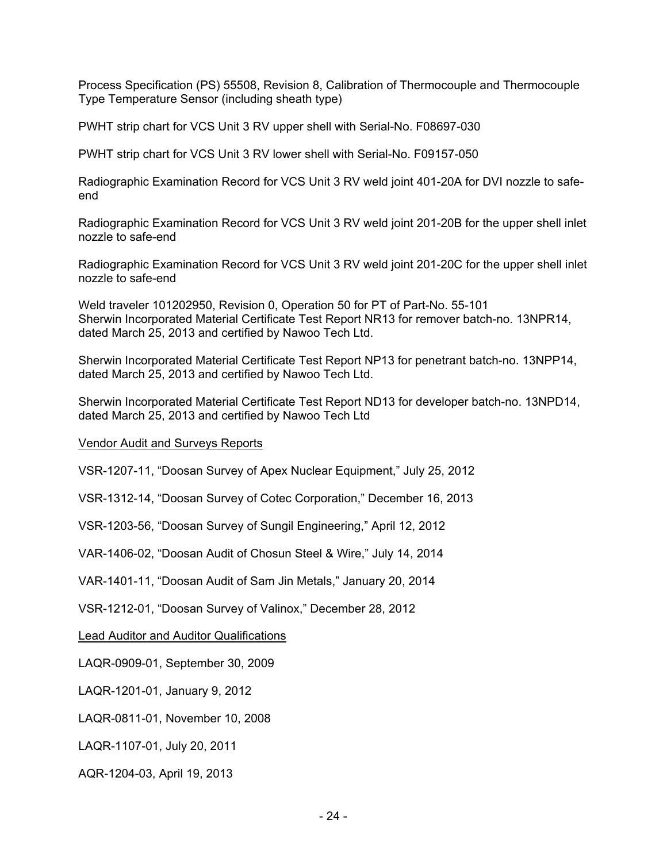Process Specification (PS) 55508, Revision 8, Calibration of Thermocouple and Thermocouple Type Temperature Sensor (including sheath type)

PWHT strip chart for VCS Unit 3 RV upper shell with Serial-No. F08697-030

PWHT strip chart for VCS Unit 3 RV lower shell with Serial-No. F09157-050

Radiographic Examination Record for VCS Unit 3 RV weld joint 401-20A for DVI nozzle to safeend

Radiographic Examination Record for VCS Unit 3 RV weld joint 201-20B for the upper shell inlet nozzle to safe-end

Radiographic Examination Record for VCS Unit 3 RV weld joint 201-20C for the upper shell inlet nozzle to safe-end

Weld traveler 101202950, Revision 0, Operation 50 for PT of Part-No. 55-101 Sherwin Incorporated Material Certificate Test Report NR13 for remover batch-no. 13NPR14, dated March 25, 2013 and certified by Nawoo Tech Ltd.

Sherwin Incorporated Material Certificate Test Report NP13 for penetrant batch-no. 13NPP14, dated March 25, 2013 and certified by Nawoo Tech Ltd.

Sherwin Incorporated Material Certificate Test Report ND13 for developer batch-no. 13NPD14, dated March 25, 2013 and certified by Nawoo Tech Ltd

## Vendor Audit and Surveys Reports

VSR-1207-11, "Doosan Survey of Apex Nuclear Equipment," July 25, 2012

VSR-1312-14, "Doosan Survey of Cotec Corporation," December 16, 2013

VSR-1203-56, "Doosan Survey of Sungil Engineering," April 12, 2012

VAR-1406-02, "Doosan Audit of Chosun Steel & Wire," July 14, 2014

VAR-1401-11, "Doosan Audit of Sam Jin Metals," January 20, 2014

VSR-1212-01, "Doosan Survey of Valinox," December 28, 2012

Lead Auditor and Auditor Qualifications

LAQR-0909-01, September 30, 2009

LAQR-1201-01, January 9, 2012

LAQR-0811-01, November 10, 2008

LAQR-1107-01, July 20, 2011

AQR-1204-03, April 19, 2013